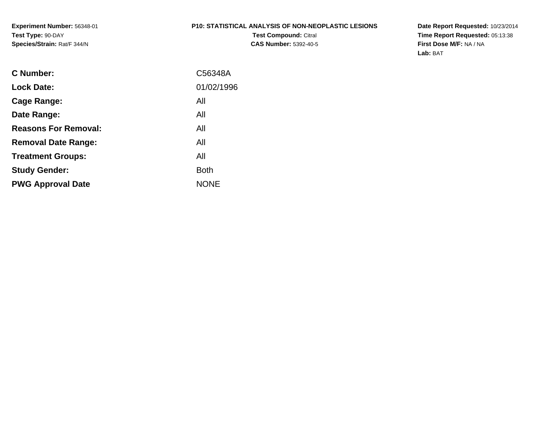**Experiment Number:** 56348-01**Test Type:** 90-DAY**Species/Strain:** Rat/F 344/N

#### **P10: STATISTICAL ANALYSIS OF NON-NEOPLASTIC LESIONS**

**Test Compound:** Citral **CAS Number:** 5392-40-5 **Date Report Requested:** 10/23/2014 **Time Report Requested:** 05:13:38**First Dose M/F:** NA / NA**Lab:** BAT

| <b>C</b> Number:            | C56348A     |
|-----------------------------|-------------|
| <b>Lock Date:</b>           | 01/02/1996  |
| Cage Range:                 | All         |
| Date Range:                 | All         |
| <b>Reasons For Removal:</b> | All         |
| <b>Removal Date Range:</b>  | All         |
| <b>Treatment Groups:</b>    | All         |
| <b>Study Gender:</b>        | <b>Both</b> |
| <b>PWG Approval Date</b>    | <b>NONE</b> |
|                             |             |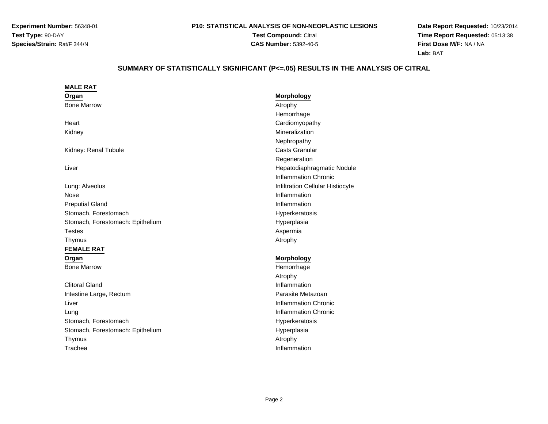**Experiment Number:** 56348-01**Test Type:** 90-DAY**Species/Strain:** Rat/F 344/N

# **P10: STATISTICAL ANALYSIS OF NON-NEOPLASTIC LESIONS**

**Test Compound:** Citral **CAS Number:** 5392-40-5

**Date Report Requested:** 10/23/2014**Time Report Requested:** 05:13:38**First Dose M/F:** NA / NA**Lab:** BAT

# **SUMMARY OF STATISTICALLY SIGNIFICANT (P<=.05) RESULTS IN THE ANALYSIS OF CITRAL**

| <b>MALE RAT</b>                  |                                  |
|----------------------------------|----------------------------------|
| Organ                            | <b>Morphology</b>                |
| <b>Bone Marrow</b>               | Atrophy                          |
|                                  | Hemorrhage                       |
| Heart                            | Cardiomyopathy                   |
| Kidney                           | Mineralization                   |
|                                  | Nephropathy                      |
| Kidney: Renal Tubule             | <b>Casts Granular</b>            |
|                                  | Regeneration                     |
| Liver                            | Hepatodiaphragmatic Nodule       |
|                                  | <b>Inflammation Chronic</b>      |
| Lung: Alveolus                   | Infiltration Cellular Histiocyte |
| Nose                             | Inflammation                     |
| <b>Preputial Gland</b>           | Inflammation                     |
| Stomach, Forestomach             | Hyperkeratosis                   |
| Stomach, Forestomach: Epithelium | Hyperplasia                      |
| <b>Testes</b>                    | Aspermia                         |
| Thymus                           | Atrophy                          |
| <b>FEMALE RAT</b>                |                                  |
| Organ                            | <b>Morphology</b>                |
| <b>Bone Marrow</b>               | Hemorrhage                       |
|                                  | Atrophy                          |
| <b>Clitoral Gland</b>            | Inflammation                     |
| Intestine Large, Rectum          | Parasite Metazoan                |
| Liver                            | <b>Inflammation Chronic</b>      |
| Lung                             | <b>Inflammation Chronic</b>      |
| Stomach, Forestomach             | Hyperkeratosis                   |
| Stomach, Forestomach: Epithelium | Hyperplasia                      |
| Thymus                           | Atrophy                          |
| Trachea                          | Inflammation                     |
|                                  |                                  |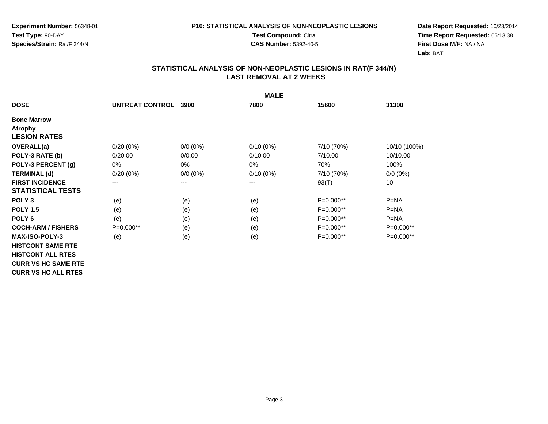**Test Compound:** Citral

**CAS Number:** 5392-40-5

**Date Report Requested:** 10/23/2014**Time Report Requested:** 05:13:38**First Dose M/F:** NA / NA**Lab:** BAT

| <b>MALE</b>                |                 |             |             |             |              |  |
|----------------------------|-----------------|-------------|-------------|-------------|--------------|--|
| <b>DOSE</b>                | UNTREAT CONTROL | 3900        | 7800        | 15600       | 31300        |  |
| <b>Bone Marrow</b>         |                 |             |             |             |              |  |
| <b>Atrophy</b>             |                 |             |             |             |              |  |
| <b>LESION RATES</b>        |                 |             |             |             |              |  |
| <b>OVERALL(a)</b>          | $0/20(0\%)$     | $0/0 (0\%)$ | $0/10(0\%)$ | 7/10 (70%)  | 10/10 (100%) |  |
| POLY-3 RATE (b)            | 0/20.00         | 0/0.00      | 0/10.00     | 7/10.00     | 10/10.00     |  |
| POLY-3 PERCENT (g)         | 0%              | 0%          | 0%          | 70%         | 100%         |  |
| <b>TERMINAL (d)</b>        | $0/20(0\%)$     | $0/0 (0\%)$ | $0/10(0\%)$ | 7/10 (70%)  | $0/0 (0\%)$  |  |
| <b>FIRST INCIDENCE</b>     | ---             | ---         | $---$       | 93(T)       | 10           |  |
| <b>STATISTICAL TESTS</b>   |                 |             |             |             |              |  |
| POLY <sub>3</sub>          | (e)             | (e)         | (e)         | P=0.000**   | $P = NA$     |  |
| <b>POLY 1.5</b>            | (e)             | (e)         | (e)         | $P=0.000**$ | $P = NA$     |  |
| POLY 6                     | (e)             | (e)         | (e)         | $P=0.000**$ | $P=NA$       |  |
| <b>COCH-ARM / FISHERS</b>  | P=0.000**       | (e)         | (e)         | $P=0.000**$ | P=0.000**    |  |
| <b>MAX-ISO-POLY-3</b>      | (e)             | (e)         | (e)         | P=0.000**   | P=0.000**    |  |
| <b>HISTCONT SAME RTE</b>   |                 |             |             |             |              |  |
| <b>HISTCONT ALL RTES</b>   |                 |             |             |             |              |  |
| <b>CURR VS HC SAME RTE</b> |                 |             |             |             |              |  |
| <b>CURR VS HC ALL RTES</b> |                 |             |             |             |              |  |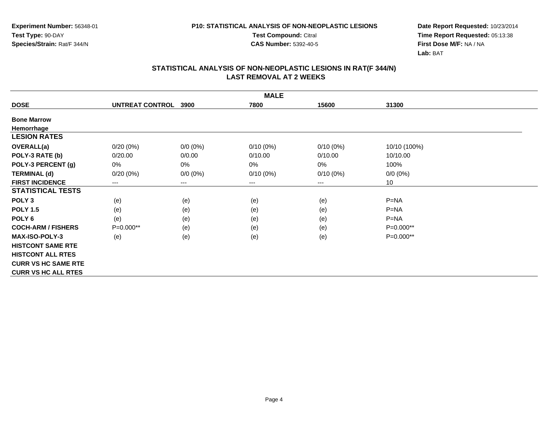**Test Compound:** Citral

**CAS Number:** 5392-40-5

**Date Report Requested:** 10/23/2014**Time Report Requested:** 05:13:38**First Dose M/F:** NA / NA**Lab:** BAT

| <b>MALE</b>                |                 |             |             |                            |              |  |
|----------------------------|-----------------|-------------|-------------|----------------------------|--------------|--|
| <b>DOSE</b>                | UNTREAT CONTROL | 3900        | 7800        | 15600                      | 31300        |  |
| <b>Bone Marrow</b>         |                 |             |             |                            |              |  |
| Hemorrhage                 |                 |             |             |                            |              |  |
| <b>LESION RATES</b>        |                 |             |             |                            |              |  |
| <b>OVERALL(a)</b>          | $0/20(0\%)$     | $0/0 (0\%)$ | $0/10(0\%)$ | $0/10(0\%)$                | 10/10 (100%) |  |
| POLY-3 RATE (b)            | 0/20.00         | 0/0.00      | 0/10.00     | 0/10.00                    | 10/10.00     |  |
| POLY-3 PERCENT (g)         | 0%              | 0%          | $0\%$       | 0%                         | 100%         |  |
| <b>TERMINAL (d)</b>        | $0/20(0\%)$     | $0/0 (0\%)$ | $0/10(0\%)$ | $0/10(0\%)$                | $0/0 (0\%)$  |  |
| <b>FIRST INCIDENCE</b>     | ---             | ---         | ---         | $\qquad \qquad - \qquad -$ | 10           |  |
| <b>STATISTICAL TESTS</b>   |                 |             |             |                            |              |  |
| POLY <sub>3</sub>          | (e)             | (e)         | (e)         | (e)                        | $P = NA$     |  |
| <b>POLY 1.5</b>            | (e)             | (e)         | (e)         | (e)                        | $P=NA$       |  |
| POLY 6                     | (e)             | (e)         | (e)         | (e)                        | $P = NA$     |  |
| <b>COCH-ARM / FISHERS</b>  | $P=0.000**$     | (e)         | (e)         | (e)                        | P=0.000**    |  |
| <b>MAX-ISO-POLY-3</b>      | (e)             | (e)         | (e)         | (e)                        | P=0.000**    |  |
| <b>HISTCONT SAME RTE</b>   |                 |             |             |                            |              |  |
| <b>HISTCONT ALL RTES</b>   |                 |             |             |                            |              |  |
| <b>CURR VS HC SAME RTE</b> |                 |             |             |                            |              |  |
| <b>CURR VS HC ALL RTES</b> |                 |             |             |                            |              |  |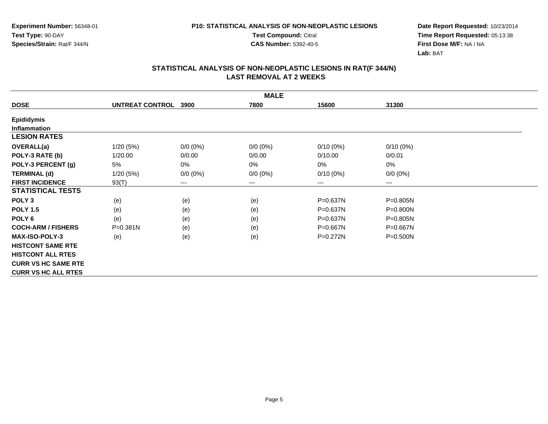**Test Compound:** Citral

**CAS Number:** 5392-40-5

**Date Report Requested:** 10/23/2014**Time Report Requested:** 05:13:38**First Dose M/F:** NA / NA**Lab:** BAT

| <b>MALE</b>                |                 |             |             |              |              |  |
|----------------------------|-----------------|-------------|-------------|--------------|--------------|--|
| <b>DOSE</b>                | UNTREAT CONTROL | 3900        | 7800        | 15600        | 31300        |  |
| <b>Epididymis</b>          |                 |             |             |              |              |  |
| <b>Inflammation</b>        |                 |             |             |              |              |  |
| <b>LESION RATES</b>        |                 |             |             |              |              |  |
| <b>OVERALL(a)</b>          | 1/20(5%)        | $0/0 (0\%)$ | $0/0 (0\%)$ | $0/10(0\%)$  | $0/10(0\%)$  |  |
| POLY-3 RATE (b)            | 1/20.00         | 0/0.00      | 0/0.00      | 0/10.00      | 0/0.01       |  |
| POLY-3 PERCENT (g)         | 5%              | 0%          | 0%          | 0%           | 0%           |  |
| <b>TERMINAL (d)</b>        | 1/20(5%)        | $0/0 (0\%)$ | $0/0 (0\%)$ | $0/10(0\%)$  | $0/0 (0\%)$  |  |
| <b>FIRST INCIDENCE</b>     | 93(T)           | ---         | $--$        | ---          | ---          |  |
| <b>STATISTICAL TESTS</b>   |                 |             |             |              |              |  |
| POLY <sub>3</sub>          | (e)             | (e)         | (e)         | P=0.637N     | P=0.805N     |  |
| <b>POLY 1.5</b>            | (e)             | (e)         | (e)         | P=0.637N     | P=0.800N     |  |
| POLY <sub>6</sub>          | (e)             | (e)         | (e)         | $P = 0.637N$ | P=0.805N     |  |
| <b>COCH-ARM / FISHERS</b>  | P=0.381N        | (e)         | (e)         | $P = 0.667N$ | $P = 0.667N$ |  |
| <b>MAX-ISO-POLY-3</b>      | (e)             | (e)         | (e)         | $P = 0.272N$ | P=0.500N     |  |
| <b>HISTCONT SAME RTE</b>   |                 |             |             |              |              |  |
| <b>HISTCONT ALL RTES</b>   |                 |             |             |              |              |  |
| <b>CURR VS HC SAME RTE</b> |                 |             |             |              |              |  |
| <b>CURR VS HC ALL RTES</b> |                 |             |             |              |              |  |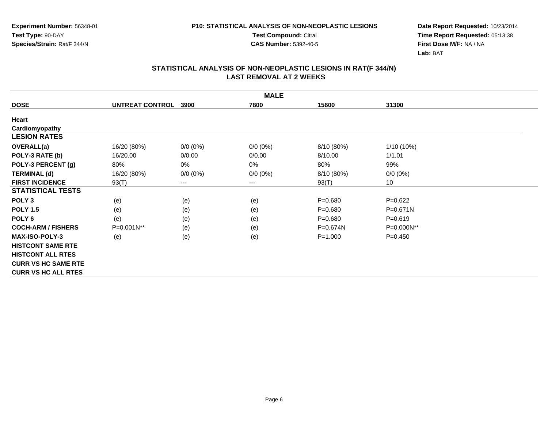**Test Compound:** Citral

**CAS Number:** 5392-40-5

**Date Report Requested:** 10/23/2014**Time Report Requested:** 05:13:38**First Dose M/F:** NA / NA**Lab:** BAT

| <b>MALE</b>                |                 |             |             |             |              |  |
|----------------------------|-----------------|-------------|-------------|-------------|--------------|--|
| <b>DOSE</b>                | UNTREAT CONTROL | 3900        | 7800        | 15600       | 31300        |  |
| Heart                      |                 |             |             |             |              |  |
| Cardiomyopathy             |                 |             |             |             |              |  |
| <b>LESION RATES</b>        |                 |             |             |             |              |  |
| <b>OVERALL(a)</b>          | 16/20 (80%)     | $0/0 (0\%)$ | $0/0(0\%)$  | 8/10 (80%)  | 1/10 (10%)   |  |
| POLY-3 RATE (b)            | 16/20.00        | 0/0.00      | 0/0.00      | 8/10.00     | 1/1.01       |  |
| POLY-3 PERCENT (g)         | 80%             | 0%          | 0%          | 80%         | 99%          |  |
| <b>TERMINAL (d)</b>        | 16/20 (80%)     | $0/0 (0\%)$ | $0/0 (0\%)$ | 8/10 (80%)  | $0/0 (0\%)$  |  |
| <b>FIRST INCIDENCE</b>     | 93(T)           | $---$       | $--$        | 93(T)       | 10           |  |
| <b>STATISTICAL TESTS</b>   |                 |             |             |             |              |  |
| POLY <sub>3</sub>          | (e)             | (e)         | (e)         | $P = 0.680$ | $P=0.622$    |  |
| <b>POLY 1.5</b>            | (e)             | (e)         | (e)         | $P = 0.680$ | $P = 0.671N$ |  |
| POLY <sub>6</sub>          | (e)             | (e)         | (e)         | $P = 0.680$ | $P = 0.619$  |  |
| <b>COCH-ARM / FISHERS</b>  | P=0.001N**      | (e)         | (e)         | P=0.674N    | P=0.000N**   |  |
| <b>MAX-ISO-POLY-3</b>      | (e)             | (e)         | (e)         | $P = 1.000$ | $P=0.450$    |  |
| <b>HISTCONT SAME RTE</b>   |                 |             |             |             |              |  |
| <b>HISTCONT ALL RTES</b>   |                 |             |             |             |              |  |
| <b>CURR VS HC SAME RTE</b> |                 |             |             |             |              |  |
| <b>CURR VS HC ALL RTES</b> |                 |             |             |             |              |  |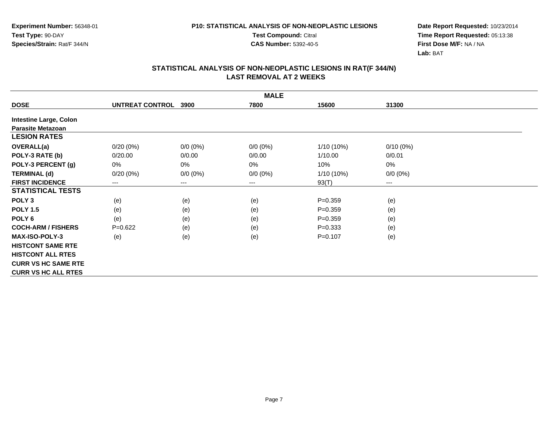**Test Compound:** Citral

**CAS Number:** 5392-40-5

**Date Report Requested:** 10/23/2014**Time Report Requested:** 05:13:38**First Dose M/F:** NA / NA**Lab:** BAT

| <b>MALE</b>                   |                 |             |             |              |             |  |
|-------------------------------|-----------------|-------------|-------------|--------------|-------------|--|
| <b>DOSE</b>                   | UNTREAT CONTROL | 3900        | 7800        | 15600        | 31300       |  |
| <b>Intestine Large, Colon</b> |                 |             |             |              |             |  |
| <b>Parasite Metazoan</b>      |                 |             |             |              |             |  |
| <b>LESION RATES</b>           |                 |             |             |              |             |  |
| <b>OVERALL(a)</b>             | $0/20(0\%)$     | $0/0 (0\%)$ | $0/0 (0\%)$ | $1/10(10\%)$ | $0/10(0\%)$ |  |
| POLY-3 RATE (b)               | 0/20.00         | 0/0.00      | 0/0.00      | 1/10.00      | 0/0.01      |  |
| POLY-3 PERCENT (g)            | 0%              | 0%          | 0%          | 10%          | 0%          |  |
| <b>TERMINAL (d)</b>           | $0/20(0\%)$     | $0/0 (0\%)$ | $0/0 (0\%)$ | $1/10(10\%)$ | $0/0 (0\%)$ |  |
| <b>FIRST INCIDENCE</b>        | $---$           | ---         | $---$       | 93(T)        | ---         |  |
| <b>STATISTICAL TESTS</b>      |                 |             |             |              |             |  |
| POLY <sub>3</sub>             | (e)             | (e)         | (e)         | $P = 0.359$  | (e)         |  |
| <b>POLY 1.5</b>               | (e)             | (e)         | (e)         | $P = 0.359$  | (e)         |  |
| POLY 6                        | (e)             | (e)         | (e)         | $P = 0.359$  | (e)         |  |
| <b>COCH-ARM / FISHERS</b>     | $P=0.622$       | (e)         | (e)         | $P=0.333$    | (e)         |  |
| <b>MAX-ISO-POLY-3</b>         | (e)             | (e)         | (e)         | $P = 0.107$  | (e)         |  |
| <b>HISTCONT SAME RTE</b>      |                 |             |             |              |             |  |
| <b>HISTCONT ALL RTES</b>      |                 |             |             |              |             |  |
| <b>CURR VS HC SAME RTE</b>    |                 |             |             |              |             |  |
| <b>CURR VS HC ALL RTES</b>    |                 |             |             |              |             |  |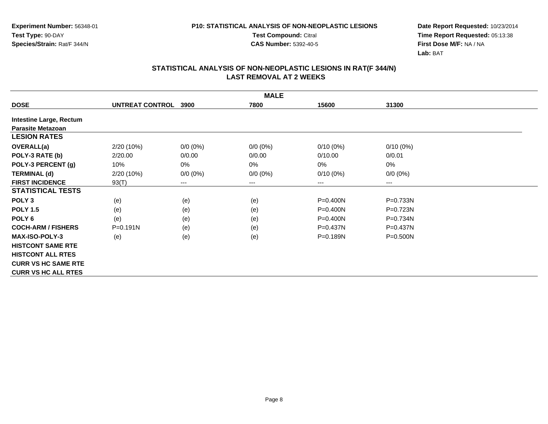**Test Compound:** Citral

**CAS Number:** 5392-40-5

**Date Report Requested:** 10/23/2014**Time Report Requested:** 05:13:38**First Dose M/F:** NA / NA**Lab:** BAT

| <b>MALE</b>                    |                 |             |             |              |              |  |
|--------------------------------|-----------------|-------------|-------------|--------------|--------------|--|
| <b>DOSE</b>                    | UNTREAT CONTROL | 3900        | 7800        | 15600        | 31300        |  |
| <b>Intestine Large, Rectum</b> |                 |             |             |              |              |  |
| <b>Parasite Metazoan</b>       |                 |             |             |              |              |  |
| <b>LESION RATES</b>            |                 |             |             |              |              |  |
| <b>OVERALL(a)</b>              | 2/20 (10%)      | $0/0 (0\%)$ | $0/0 (0\%)$ | $0/10(0\%)$  | $0/10(0\%)$  |  |
| POLY-3 RATE (b)                | 2/20.00         | 0/0.00      | 0/0.00      | 0/10.00      | 0/0.01       |  |
| POLY-3 PERCENT (g)             | 10%             | 0%          | 0%          | $0\%$        | 0%           |  |
| <b>TERMINAL (d)</b>            | 2/20 (10%)      | $0/0 (0\%)$ | $0/0 (0\%)$ | $0/10(0\%)$  | $0/0 (0\%)$  |  |
| <b>FIRST INCIDENCE</b>         | 93(T)           | ---         | $---$       | ---          | ---          |  |
| <b>STATISTICAL TESTS</b>       |                 |             |             |              |              |  |
| POLY <sub>3</sub>              | (e)             | (e)         | (e)         | $P = 0.400N$ | P=0.733N     |  |
| <b>POLY 1.5</b>                | (e)             | (e)         | (e)         | $P = 0.400N$ | P=0.723N     |  |
| POLY <sub>6</sub>              | (e)             | (e)         | (e)         | $P = 0.400N$ | P=0.734N     |  |
| <b>COCH-ARM / FISHERS</b>      | $P = 0.191N$    | (e)         | (e)         | $P = 0.437N$ | $P = 0.437N$ |  |
| <b>MAX-ISO-POLY-3</b>          | (e)             | (e)         | (e)         | $P = 0.189N$ | $P = 0.500N$ |  |
| <b>HISTCONT SAME RTE</b>       |                 |             |             |              |              |  |
| <b>HISTCONT ALL RTES</b>       |                 |             |             |              |              |  |
| <b>CURR VS HC SAME RTE</b>     |                 |             |             |              |              |  |
| <b>CURR VS HC ALL RTES</b>     |                 |             |             |              |              |  |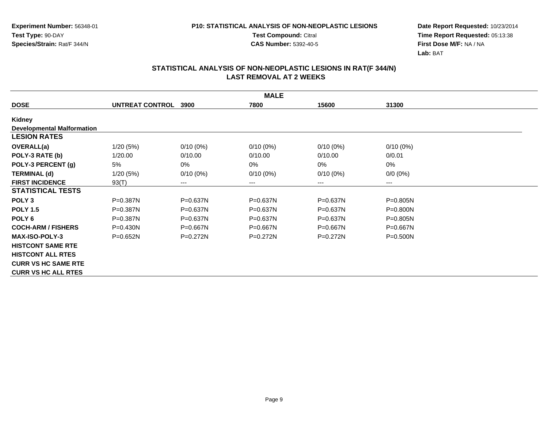**Test Compound:** Citral

**CAS Number:** 5392-40-5

**Date Report Requested:** 10/23/2014**Time Report Requested:** 05:13:38**First Dose M/F:** NA / NA**Lab:** BAT

| <b>MALE</b>                       |                      |              |              |              |              |  |  |
|-----------------------------------|----------------------|--------------|--------------|--------------|--------------|--|--|
| <b>DOSE</b>                       | UNTREAT CONTROL 3900 |              | 7800         | 15600        | 31300        |  |  |
| Kidney                            |                      |              |              |              |              |  |  |
| <b>Developmental Malformation</b> |                      |              |              |              |              |  |  |
| <b>LESION RATES</b>               |                      |              |              |              |              |  |  |
| <b>OVERALL(a)</b>                 | 1/20(5%)             | $0/10(0\%)$  | $0/10(0\%)$  | $0/10(0\%)$  | $0/10(0\%)$  |  |  |
| POLY-3 RATE (b)                   | 1/20.00              | 0/10.00      | 0/10.00      | 0/10.00      | 0/0.01       |  |  |
| POLY-3 PERCENT (g)                | 5%                   | 0%           | 0%           | 0%           | 0%           |  |  |
| <b>TERMINAL (d)</b>               | 1/20(5%)             | $0/10(0\%)$  | $0/10(0\%)$  | $0/10(0\%)$  | $0/0 (0\%)$  |  |  |
| <b>FIRST INCIDENCE</b>            | 93(T)                | $---$        | ---          | ---          | ---          |  |  |
| <b>STATISTICAL TESTS</b>          |                      |              |              |              |              |  |  |
| POLY <sub>3</sub>                 | $P = 0.387N$         | $P = 0.637N$ | $P = 0.637N$ | $P = 0.637N$ | $P = 0.805N$ |  |  |
| <b>POLY 1.5</b>                   | $P = 0.387N$         | $P = 0.637N$ | P=0.637N     | $P = 0.637N$ | $P = 0.800N$ |  |  |
| POLY <sub>6</sub>                 | P=0.387N             | $P = 0.637N$ | $P = 0.637N$ | P=0.637N     | P=0.805N     |  |  |
| <b>COCH-ARM / FISHERS</b>         | $P = 0.430N$         | $P = 0.667N$ | $P = 0.667N$ | $P = 0.667N$ | $P = 0.667N$ |  |  |
| <b>MAX-ISO-POLY-3</b>             | $P = 0.652N$         | $P=0.272N$   | $P=0.272N$   | $P=0.272N$   | $P = 0.500N$ |  |  |
| <b>HISTCONT SAME RTE</b>          |                      |              |              |              |              |  |  |
| <b>HISTCONT ALL RTES</b>          |                      |              |              |              |              |  |  |
| <b>CURR VS HC SAME RTE</b>        |                      |              |              |              |              |  |  |
| <b>CURR VS HC ALL RTES</b>        |                      |              |              |              |              |  |  |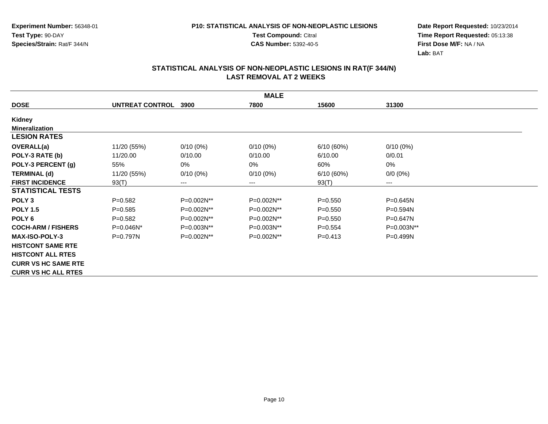**Test Compound:** Citral

**CAS Number:** 5392-40-5

**Date Report Requested:** 10/23/2014**Time Report Requested:** 05:13:38**First Dose M/F:** NA / NA**Lab:** BAT

| <b>MALE</b>                |                 |                        |             |             |              |  |  |
|----------------------------|-----------------|------------------------|-------------|-------------|--------------|--|--|
| <b>DOSE</b>                | UNTREAT CONTROL | 3900                   | 7800        | 15600       | 31300        |  |  |
| Kidney                     |                 |                        |             |             |              |  |  |
| <b>Mineralization</b>      |                 |                        |             |             |              |  |  |
| <b>LESION RATES</b>        |                 |                        |             |             |              |  |  |
| OVERALL(a)                 | 11/20 (55%)     | $0/10(0\%)$            | $0/10(0\%)$ | 6/10(60%)   | $0/10(0\%)$  |  |  |
| POLY-3 RATE (b)            | 11/20.00        | 0/10.00                | 0/10.00     | 6/10.00     | 0/0.01       |  |  |
| POLY-3 PERCENT (g)         | 55%             | 0%                     | 0%          | 60%         | 0%           |  |  |
| <b>TERMINAL (d)</b>        | 11/20 (55%)     | $0/10(0\%)$            | $0/10(0\%)$ | 6/10(60%)   | $0/0 (0\%)$  |  |  |
| <b>FIRST INCIDENCE</b>     | 93(T)           | $\qquad \qquad \cdots$ | $---$       | 93(T)       | ---          |  |  |
| <b>STATISTICAL TESTS</b>   |                 |                        |             |             |              |  |  |
| POLY <sub>3</sub>          | $P = 0.582$     | P=0.002N**             | P=0.002N**  | $P = 0.550$ | P=0.645N     |  |  |
| <b>POLY 1.5</b>            | $P = 0.585$     | P=0.002N**             | P=0.002N**  | $P=0.550$   | $P = 0.594N$ |  |  |
| POLY <sub>6</sub>          | $P = 0.582$     | P=0.002N**             | P=0.002N**  | $P = 0.550$ | P=0.647N     |  |  |
| <b>COCH-ARM / FISHERS</b>  | P=0.046N*       | P=0.003N**             | P=0.003N**  | $P = 0.554$ | P=0.003N**   |  |  |
| <b>MAX-ISO-POLY-3</b>      | $P=0.797N$      | P=0.002N**             | P=0.002N**  | $P = 0.413$ | $P = 0.499N$ |  |  |
| <b>HISTCONT SAME RTE</b>   |                 |                        |             |             |              |  |  |
| <b>HISTCONT ALL RTES</b>   |                 |                        |             |             |              |  |  |
| <b>CURR VS HC SAME RTE</b> |                 |                        |             |             |              |  |  |
| <b>CURR VS HC ALL RTES</b> |                 |                        |             |             |              |  |  |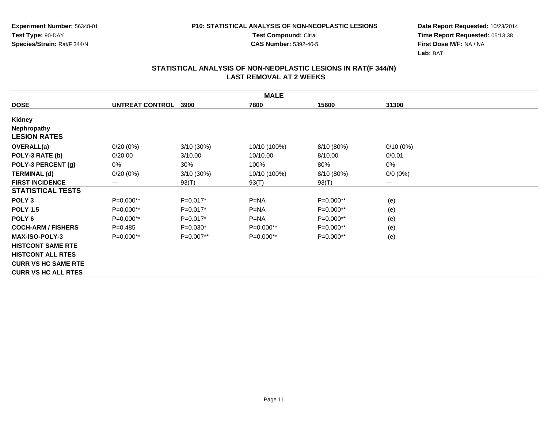**Test Compound:** Citral

**CAS Number:** 5392-40-5

**Date Report Requested:** 10/23/2014**Time Report Requested:** 05:13:38**First Dose M/F:** NA / NA**Lab:** BAT

|                            | <b>MALE</b>            |              |              |             |             |  |  |
|----------------------------|------------------------|--------------|--------------|-------------|-------------|--|--|
| <b>DOSE</b>                | <b>UNTREAT CONTROL</b> | 3900         | 7800         | 15600       | 31300       |  |  |
| Kidney                     |                        |              |              |             |             |  |  |
| Nephropathy                |                        |              |              |             |             |  |  |
| <b>LESION RATES</b>        |                        |              |              |             |             |  |  |
| OVERALL(a)                 | $0/20(0\%)$            | $3/10(30\%)$ | 10/10 (100%) | 8/10 (80%)  | $0/10(0\%)$ |  |  |
| POLY-3 RATE (b)            | 0/20.00                | 3/10.00      | 10/10.00     | 8/10.00     | 0/0.01      |  |  |
| POLY-3 PERCENT (g)         | 0%                     | 30%          | 100%         | 80%         | 0%          |  |  |
| <b>TERMINAL (d)</b>        | $0/20(0\%)$            | 3/10 (30%)   | 10/10 (100%) | 8/10 (80%)  | $0/0 (0\%)$ |  |  |
| <b>FIRST INCIDENCE</b>     | ---                    | 93(T)        | 93(T)        | 93(T)       | ---         |  |  |
| <b>STATISTICAL TESTS</b>   |                        |              |              |             |             |  |  |
| POLY <sub>3</sub>          | $P=0.000**$            | $P=0.017*$   | $P=NA$       | $P=0.000**$ | (e)         |  |  |
| <b>POLY 1.5</b>            | P=0.000**              | $P=0.017*$   | $P = NA$     | $P=0.000**$ | (e)         |  |  |
| POLY <sub>6</sub>          | $P=0.000**$            | $P=0.017*$   | $P=NA$       | $P=0.000**$ | (e)         |  |  |
| <b>COCH-ARM / FISHERS</b>  | $P = 0.485$            | $P=0.030*$   | P=0.000**    | $P=0.000**$ | (e)         |  |  |
| <b>MAX-ISO-POLY-3</b>      | $P=0.000**$            | $P=0.007**$  | $P=0.000**$  | $P=0.000**$ | (e)         |  |  |
| <b>HISTCONT SAME RTE</b>   |                        |              |              |             |             |  |  |
| <b>HISTCONT ALL RTES</b>   |                        |              |              |             |             |  |  |
| <b>CURR VS HC SAME RTE</b> |                        |              |              |             |             |  |  |
| <b>CURR VS HC ALL RTES</b> |                        |              |              |             |             |  |  |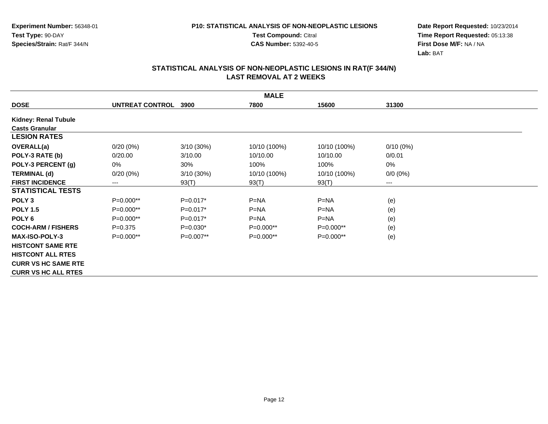**Test Compound:** Citral

**CAS Number:** 5392-40-5

**Date Report Requested:** 10/23/2014**Time Report Requested:** 05:13:38**First Dose M/F:** NA / NA**Lab:** BAT

|                            | <b>MALE</b>          |              |              |              |             |  |  |
|----------------------------|----------------------|--------------|--------------|--------------|-------------|--|--|
| <b>DOSE</b>                | UNTREAT CONTROL 3900 |              | 7800         | 15600        | 31300       |  |  |
| Kidney: Renal Tubule       |                      |              |              |              |             |  |  |
| <b>Casts Granular</b>      |                      |              |              |              |             |  |  |
| <b>LESION RATES</b>        |                      |              |              |              |             |  |  |
| <b>OVERALL(a)</b>          | $0/20(0\%)$          | $3/10(30\%)$ | 10/10 (100%) | 10/10 (100%) | $0/10(0\%)$ |  |  |
| POLY-3 RATE (b)            | 0/20.00              | 3/10.00      | 10/10.00     | 10/10.00     | 0/0.01      |  |  |
| POLY-3 PERCENT (g)         | 0%                   | 30%          | 100%         | 100%         | 0%          |  |  |
| <b>TERMINAL (d)</b>        | $0/20(0\%)$          | $3/10(30\%)$ | 10/10 (100%) | 10/10 (100%) | $0/0 (0\%)$ |  |  |
| <b>FIRST INCIDENCE</b>     | $--$                 | 93(T)        | 93(T)        | 93(T)        | $---$       |  |  |
| <b>STATISTICAL TESTS</b>   |                      |              |              |              |             |  |  |
| POLY <sub>3</sub>          | $P=0.000**$          | $P=0.017*$   | $P=NA$       | $P=NA$       | (e)         |  |  |
| <b>POLY 1.5</b>            | P=0.000**            | $P=0.017*$   | $P=NA$       | $P=NA$       | (e)         |  |  |
| POLY <sub>6</sub>          | P=0.000**            | $P=0.017*$   | $P=NA$       | $P=NA$       | (e)         |  |  |
| <b>COCH-ARM / FISHERS</b>  | $P = 0.375$          | $P=0.030*$   | $P=0.000**$  | P=0.000**    | (e)         |  |  |
| <b>MAX-ISO-POLY-3</b>      | $P=0.000**$          | $P=0.007**$  | $P=0.000**$  | $P=0.000**$  | (e)         |  |  |
| <b>HISTCONT SAME RTE</b>   |                      |              |              |              |             |  |  |
| <b>HISTCONT ALL RTES</b>   |                      |              |              |              |             |  |  |
| <b>CURR VS HC SAME RTE</b> |                      |              |              |              |             |  |  |
| <b>CURR VS HC ALL RTES</b> |                      |              |              |              |             |  |  |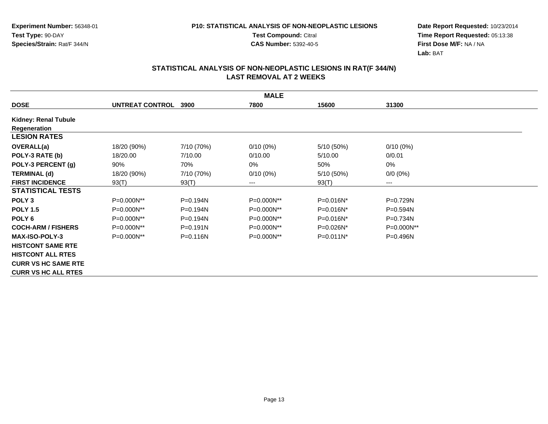**Test Compound:** Citral

**CAS Number:** 5392-40-5

**Date Report Requested:** 10/23/2014**Time Report Requested:** 05:13:38**First Dose M/F:** NA / NA**Lab:** BAT

|                            |                        |              | <b>MALE</b> |                |              |
|----------------------------|------------------------|--------------|-------------|----------------|--------------|
| <b>DOSE</b>                | <b>UNTREAT CONTROL</b> | 3900         | 7800        | 15600          | 31300        |
| Kidney: Renal Tubule       |                        |              |             |                |              |
| Regeneration               |                        |              |             |                |              |
| <b>LESION RATES</b>        |                        |              |             |                |              |
| OVERALL(a)                 | 18/20 (90%)            | 7/10 (70%)   | $0/10(0\%)$ | 5/10 (50%)     | $0/10(0\%)$  |
| POLY-3 RATE (b)            | 18/20.00               | 7/10.00      | 0/10.00     | 5/10.00        | 0/0.01       |
| POLY-3 PERCENT (g)         | 90%                    | 70%          | 0%          | 50%            | 0%           |
| <b>TERMINAL (d)</b>        | 18/20 (90%)            | 7/10 (70%)   | $0/10(0\%)$ | 5/10 (50%)     | $0/0 (0\%)$  |
| <b>FIRST INCIDENCE</b>     | 93(T)                  | 93(T)        | $---$       | 93(T)          | ---          |
| <b>STATISTICAL TESTS</b>   |                        |              |             |                |              |
| POLY <sub>3</sub>          | P=0.000N**             | $P=0.194N$   | P=0.000N**  | $P = 0.016N^*$ | P=0.729N     |
| <b>POLY 1.5</b>            | P=0.000N**             | $P=0.194N$   | P=0.000N**  | $P = 0.016N^*$ | $P = 0.594N$ |
| POLY <sub>6</sub>          | P=0.000N**             | $P=0.194N$   | P=0.000N**  | $P = 0.016N^*$ | P=0.734N     |
| <b>COCH-ARM / FISHERS</b>  | P=0.000N**             | $P = 0.191N$ | P=0.000N**  | P=0.026N*      | P=0.000N**   |
| <b>MAX-ISO-POLY-3</b>      | P=0.000N**             | $P = 0.116N$ | P=0.000N**  | $P=0.011N^*$   | $P = 0.496N$ |
| <b>HISTCONT SAME RTE</b>   |                        |              |             |                |              |
| <b>HISTCONT ALL RTES</b>   |                        |              |             |                |              |
| <b>CURR VS HC SAME RTE</b> |                        |              |             |                |              |
| <b>CURR VS HC ALL RTES</b> |                        |              |             |                |              |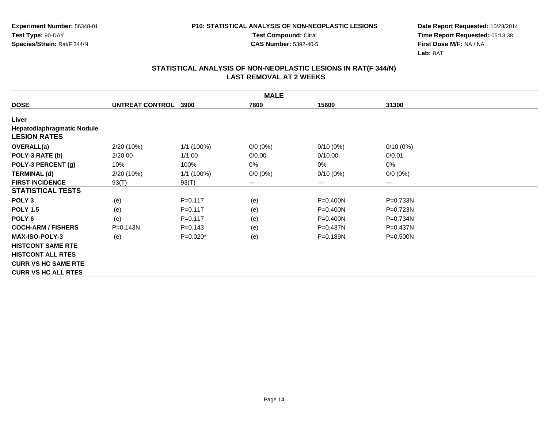**Test Compound:** Citral

**CAS Number:** 5392-40-5

**Date Report Requested:** 10/23/2014**Time Report Requested:** 05:13:38**First Dose M/F:** NA / NA**Lab:** BAT

|                                   |                      |              | <b>MALE</b> |              |              |
|-----------------------------------|----------------------|--------------|-------------|--------------|--------------|
| <b>DOSE</b>                       | UNTREAT CONTROL 3900 |              | 7800        | 15600        | 31300        |
| Liver                             |                      |              |             |              |              |
| <b>Hepatodiaphragmatic Nodule</b> |                      |              |             |              |              |
| <b>LESION RATES</b>               |                      |              |             |              |              |
| OVERALL(a)                        | 2/20 (10%)           | $1/1(100\%)$ | $0/0 (0\%)$ | $0/10(0\%)$  | $0/10(0\%)$  |
| POLY-3 RATE (b)                   | 2/20.00              | 1/1.00       | 0/0.00      | 0/10.00      | 0/0.01       |
| POLY-3 PERCENT (g)                | 10%                  | 100%         | 0%          | 0%           | 0%           |
| <b>TERMINAL (d)</b>               | 2/20 (10%)           | 1/1 (100%)   | $0/0 (0\%)$ | $0/10(0\%)$  | $0/0 (0\%)$  |
| <b>FIRST INCIDENCE</b>            | 93(T)                | 93(T)        | $---$       | ---          | $---$        |
| <b>STATISTICAL TESTS</b>          |                      |              |             |              |              |
| POLY <sub>3</sub>                 | (e)                  | $P = 0.117$  | (e)         | $P = 0.400N$ | P=0.733N     |
| <b>POLY 1.5</b>                   | (e)                  | $P = 0.117$  | (e)         | $P = 0.400N$ | P=0.723N     |
| POLY <sub>6</sub>                 | (e)                  | $P = 0.117$  | (e)         | $P = 0.400N$ | P=0.734N     |
| <b>COCH-ARM / FISHERS</b>         | $P = 0.143N$         | $P=0.143$    | (e)         | $P = 0.437N$ | $P = 0.437N$ |
| <b>MAX-ISO-POLY-3</b>             | (e)                  | $P=0.020*$   | (e)         | P=0.189N     | $P = 0.500N$ |
| <b>HISTCONT SAME RTE</b>          |                      |              |             |              |              |
| <b>HISTCONT ALL RTES</b>          |                      |              |             |              |              |
| <b>CURR VS HC SAME RTE</b>        |                      |              |             |              |              |
| <b>CURR VS HC ALL RTES</b>        |                      |              |             |              |              |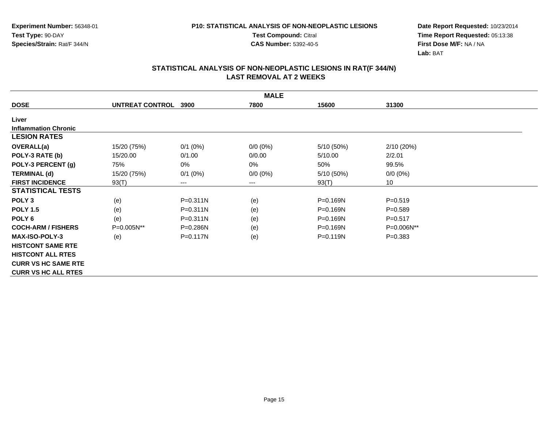**Test Compound:** Citral

**CAS Number:** 5392-40-5

**Date Report Requested:** 10/23/2014**Time Report Requested:** 05:13:38**First Dose M/F:** NA / NA**Lab:** BAT

|                             | <b>MALE</b>     |              |             |              |             |  |  |  |  |
|-----------------------------|-----------------|--------------|-------------|--------------|-------------|--|--|--|--|
| <b>DOSE</b>                 | UNTREAT CONTROL | 3900         | 7800        | 15600        | 31300       |  |  |  |  |
| Liver                       |                 |              |             |              |             |  |  |  |  |
| <b>Inflammation Chronic</b> |                 |              |             |              |             |  |  |  |  |
| <b>LESION RATES</b>         |                 |              |             |              |             |  |  |  |  |
| <b>OVERALL(a)</b>           | 15/20 (75%)     | $0/1$ (0%)   | $0/0 (0\%)$ | 5/10 (50%)   | 2/10 (20%)  |  |  |  |  |
| POLY-3 RATE (b)             | 15/20.00        | 0/1.00       | 0/0.00      | 5/10.00      | 2/2.01      |  |  |  |  |
| POLY-3 PERCENT (g)          | 75%             | 0%           | 0%          | 50%          | 99.5%       |  |  |  |  |
| <b>TERMINAL (d)</b>         | 15/20 (75%)     | $0/1$ (0%)   | $0/0 (0\%)$ | 5/10 (50%)   | $0/0 (0\%)$ |  |  |  |  |
| <b>FIRST INCIDENCE</b>      | 93(T)           | ---          | $--$        | 93(T)        | 10          |  |  |  |  |
| <b>STATISTICAL TESTS</b>    |                 |              |             |              |             |  |  |  |  |
| POLY <sub>3</sub>           | (e)             | $P = 0.311N$ | (e)         | P=0.169N     | $P = 0.519$ |  |  |  |  |
| <b>POLY 1.5</b>             | (e)             | P=0.311N     | (e)         | $P = 0.169N$ | $P = 0.589$ |  |  |  |  |
| POLY <sub>6</sub>           | (e)             | $P = 0.311N$ | (e)         | P=0.169N     | $P = 0.517$ |  |  |  |  |
| <b>COCH-ARM / FISHERS</b>   | P=0.005N**      | $P = 0.286N$ | (e)         | $P = 0.169N$ | P=0.006N**  |  |  |  |  |
| <b>MAX-ISO-POLY-3</b>       | (e)             | P=0.117N     | (e)         | $P = 0.119N$ | $P = 0.383$ |  |  |  |  |
| <b>HISTCONT SAME RTE</b>    |                 |              |             |              |             |  |  |  |  |
| <b>HISTCONT ALL RTES</b>    |                 |              |             |              |             |  |  |  |  |
| <b>CURR VS HC SAME RTE</b>  |                 |              |             |              |             |  |  |  |  |
| <b>CURR VS HC ALL RTES</b>  |                 |              |             |              |             |  |  |  |  |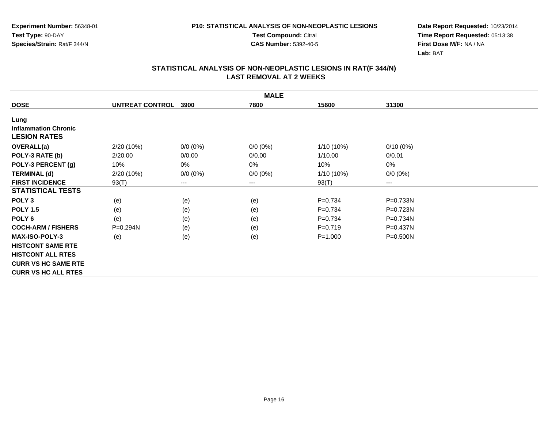**Test Compound:** Citral

**CAS Number:** 5392-40-5

**Date Report Requested:** 10/23/2014**Time Report Requested:** 05:13:38**First Dose M/F:** NA / NA**Lab:** BAT

|                             | <b>MALE</b>     |             |             |              |              |  |  |  |  |
|-----------------------------|-----------------|-------------|-------------|--------------|--------------|--|--|--|--|
| <b>DOSE</b>                 | UNTREAT CONTROL | 3900        | 7800        | 15600        | 31300        |  |  |  |  |
| Lung                        |                 |             |             |              |              |  |  |  |  |
| <b>Inflammation Chronic</b> |                 |             |             |              |              |  |  |  |  |
| <b>LESION RATES</b>         |                 |             |             |              |              |  |  |  |  |
| <b>OVERALL(a)</b>           | 2/20 (10%)      | $0/0 (0\%)$ | $0/0(0\%)$  | $1/10(10\%)$ | $0/10(0\%)$  |  |  |  |  |
| POLY-3 RATE (b)             | 2/20.00         | 0/0.00      | 0/0.00      | 1/10.00      | 0/0.01       |  |  |  |  |
| POLY-3 PERCENT (g)          | 10%             | 0%          | 0%          | 10%          | 0%           |  |  |  |  |
| <b>TERMINAL (d)</b>         | 2/20 (10%)      | $0/0 (0\%)$ | $0/0 (0\%)$ | 1/10 (10%)   | $0/0 (0\%)$  |  |  |  |  |
| <b>FIRST INCIDENCE</b>      | 93(T)           | $---$       | $--$        | 93(T)        | $---$        |  |  |  |  |
| <b>STATISTICAL TESTS</b>    |                 |             |             |              |              |  |  |  |  |
| POLY <sub>3</sub>           | (e)             | (e)         | (e)         | $P=0.734$    | P=0.733N     |  |  |  |  |
| <b>POLY 1.5</b>             | (e)             | (e)         | (e)         | $P=0.734$    | $P=0.723N$   |  |  |  |  |
| POLY <sub>6</sub>           | (e)             | (e)         | (e)         | $P=0.734$    | P=0.734N     |  |  |  |  |
| <b>COCH-ARM / FISHERS</b>   | P=0.294N        | (e)         | (e)         | $P=0.719$    | $P = 0.437N$ |  |  |  |  |
| <b>MAX-ISO-POLY-3</b>       | (e)             | (e)         | (e)         | $P = 1.000$  | $P = 0.500N$ |  |  |  |  |
| <b>HISTCONT SAME RTE</b>    |                 |             |             |              |              |  |  |  |  |
| <b>HISTCONT ALL RTES</b>    |                 |             |             |              |              |  |  |  |  |
| <b>CURR VS HC SAME RTE</b>  |                 |             |             |              |              |  |  |  |  |
| <b>CURR VS HC ALL RTES</b>  |                 |             |             |              |              |  |  |  |  |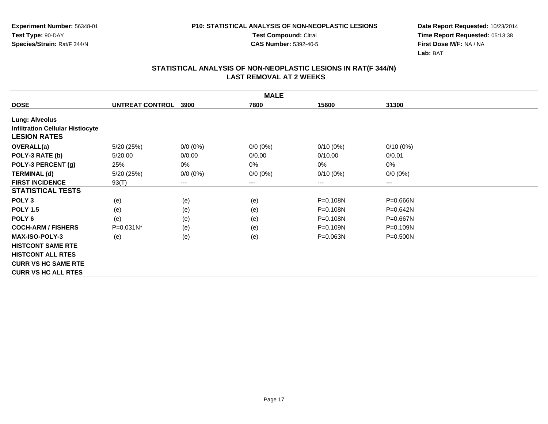**Test Compound:** Citral

**CAS Number:** 5392-40-5

**Date Report Requested:** 10/23/2014**Time Report Requested:** 05:13:38**First Dose M/F:** NA / NA**Lab:** BAT

|                                         |                 |                        | <b>MALE</b> |              |              |
|-----------------------------------------|-----------------|------------------------|-------------|--------------|--------------|
| <b>DOSE</b>                             | UNTREAT CONTROL | 3900                   | 7800        | 15600        | 31300        |
| <b>Lung: Alveolus</b>                   |                 |                        |             |              |              |
| <b>Infiltration Cellular Histiocyte</b> |                 |                        |             |              |              |
| <b>LESION RATES</b>                     |                 |                        |             |              |              |
| OVERALL(a)                              | 5/20 (25%)      | $0/0 (0\%)$            | $0/0(0\%)$  | $0/10(0\%)$  | $0/10(0\%)$  |
| POLY-3 RATE (b)                         | 5/20.00         | 0/0.00                 | 0/0.00      | 0/10.00      | 0/0.01       |
| POLY-3 PERCENT (g)                      | 25%             | 0%                     | 0%          | 0%           | 0%           |
| <b>TERMINAL (d)</b>                     | 5/20 (25%)      | $0/0 (0\%)$            | $0/0 (0\%)$ | $0/10(0\%)$  | $0/0 (0\%)$  |
| <b>FIRST INCIDENCE</b>                  | 93(T)           | $\qquad \qquad \cdots$ | $---$       | $---$        | ---          |
| <b>STATISTICAL TESTS</b>                |                 |                        |             |              |              |
| POLY <sub>3</sub>                       | (e)             | (e)                    | (e)         | P=0.108N     | P=0.666N     |
| <b>POLY 1.5</b>                         | (e)             | (e)                    | (e)         | $P = 0.108N$ | $P = 0.642N$ |
| POLY <sub>6</sub>                       | (e)             | (e)                    | (e)         | P=0.108N     | P=0.667N     |
| <b>COCH-ARM / FISHERS</b>               | $P=0.031N^*$    | (e)                    | (e)         | $P = 0.109N$ | P=0.109N     |
| <b>MAX-ISO-POLY-3</b>                   | (e)             | (e)                    | (e)         | $P = 0.063N$ | $P = 0.500N$ |
| <b>HISTCONT SAME RTE</b>                |                 |                        |             |              |              |
| <b>HISTCONT ALL RTES</b>                |                 |                        |             |              |              |
| <b>CURR VS HC SAME RTE</b>              |                 |                        |             |              |              |
| <b>CURR VS HC ALL RTES</b>              |                 |                        |             |              |              |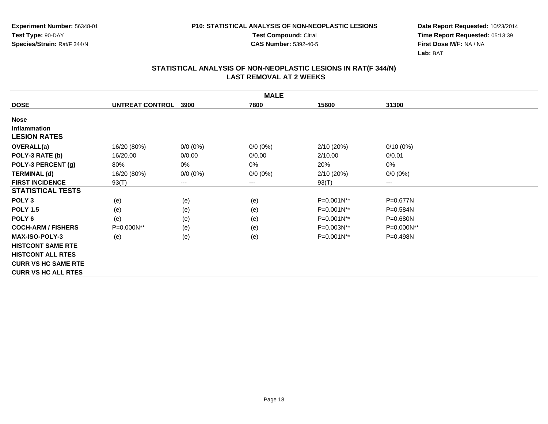**Test Compound:** Citral

**CAS Number:** 5392-40-5

**Date Report Requested:** 10/23/2014**Time Report Requested:** 05:13:39**First Dose M/F:** NA / NA**Lab:** BAT

|                            | <b>MALE</b>     |             |             |                 |              |  |  |  |  |
|----------------------------|-----------------|-------------|-------------|-----------------|--------------|--|--|--|--|
| <b>DOSE</b>                | UNTREAT CONTROL | 3900        | 7800        | 15600           | 31300        |  |  |  |  |
| <b>Nose</b>                |                 |             |             |                 |              |  |  |  |  |
| <b>Inflammation</b>        |                 |             |             |                 |              |  |  |  |  |
| <b>LESION RATES</b>        |                 |             |             |                 |              |  |  |  |  |
| <b>OVERALL(a)</b>          | 16/20 (80%)     | $0/0 (0\%)$ | $0/0 (0\%)$ | 2/10(20%)       | $0/10(0\%)$  |  |  |  |  |
| POLY-3 RATE (b)            | 16/20.00        | 0/0.00      | 0/0.00      | 2/10.00         | 0/0.01       |  |  |  |  |
| POLY-3 PERCENT (g)         | 80%             | 0%          | 0%          | 20%             | 0%           |  |  |  |  |
| <b>TERMINAL (d)</b>        | 16/20 (80%)     | $0/0 (0\%)$ | $0/0 (0\%)$ | 2/10(20%)       | $0/0 (0\%)$  |  |  |  |  |
| <b>FIRST INCIDENCE</b>     | 93(T)           | ---         | $---$       | 93(T)           | ---          |  |  |  |  |
| <b>STATISTICAL TESTS</b>   |                 |             |             |                 |              |  |  |  |  |
| POLY <sub>3</sub>          | (e)             | (e)         | (e)         | P=0.001N**      | P=0.677N     |  |  |  |  |
| <b>POLY 1.5</b>            | (e)             | (e)         | (e)         | P=0.001N**      | P=0.584N     |  |  |  |  |
| POLY 6                     | (e)             | (e)         | (e)         | P=0.001N**      | P=0.680N     |  |  |  |  |
| <b>COCH-ARM / FISHERS</b>  | P=0.000N**      | (e)         | (e)         | P=0.003N**      | P=0.000N**   |  |  |  |  |
| <b>MAX-ISO-POLY-3</b>      | (e)             | (e)         | (e)         | $P=0.001N^{**}$ | $P = 0.498N$ |  |  |  |  |
| <b>HISTCONT SAME RTE</b>   |                 |             |             |                 |              |  |  |  |  |
| <b>HISTCONT ALL RTES</b>   |                 |             |             |                 |              |  |  |  |  |
| <b>CURR VS HC SAME RTE</b> |                 |             |             |                 |              |  |  |  |  |
| <b>CURR VS HC ALL RTES</b> |                 |             |             |                 |              |  |  |  |  |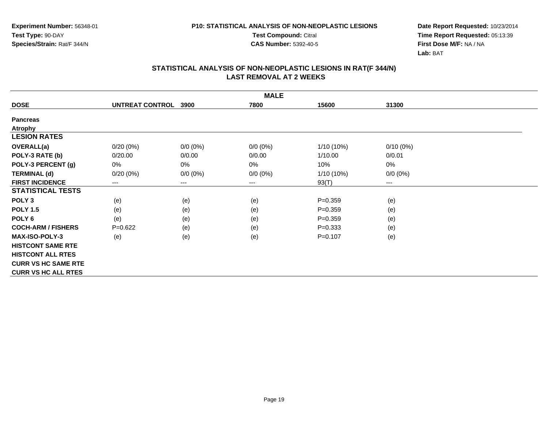**Test Compound:** Citral

**CAS Number:** 5392-40-5

**Date Report Requested:** 10/23/2014**Time Report Requested:** 05:13:39**First Dose M/F:** NA / NA**Lab:** BAT

|                            | <b>MALE</b>            |                        |             |              |             |  |  |  |  |
|----------------------------|------------------------|------------------------|-------------|--------------|-------------|--|--|--|--|
| <b>DOSE</b>                | <b>UNTREAT CONTROL</b> | 3900                   | 7800        | 15600        | 31300       |  |  |  |  |
| <b>Pancreas</b>            |                        |                        |             |              |             |  |  |  |  |
| <b>Atrophy</b>             |                        |                        |             |              |             |  |  |  |  |
| <b>LESION RATES</b>        |                        |                        |             |              |             |  |  |  |  |
| <b>OVERALL(a)</b>          | $0/20(0\%)$            | $0/0(0\%)$             | $0/0 (0\%)$ | $1/10(10\%)$ | $0/10(0\%)$ |  |  |  |  |
| POLY-3 RATE (b)            | 0/20.00                | 0/0.00                 | 0/0.00      | 1/10.00      | 0/0.01      |  |  |  |  |
| POLY-3 PERCENT (g)         | 0%                     | 0%                     | 0%          | 10%          | 0%          |  |  |  |  |
| <b>TERMINAL (d)</b>        | 0/20(0%)               | $0/0 (0\%)$            | $0/0 (0\%)$ | 1/10 (10%)   | $0/0 (0\%)$ |  |  |  |  |
| <b>FIRST INCIDENCE</b>     | $---$                  | $\qquad \qquad \cdots$ | $---$       | 93(T)        | $---$       |  |  |  |  |
| <b>STATISTICAL TESTS</b>   |                        |                        |             |              |             |  |  |  |  |
| POLY <sub>3</sub>          | (e)                    | (e)                    | (e)         | $P=0.359$    | (e)         |  |  |  |  |
| <b>POLY 1.5</b>            | (e)                    | (e)                    | (e)         | $P=0.359$    | (e)         |  |  |  |  |
| POLY <sub>6</sub>          | (e)                    | (e)                    | (e)         | $P = 0.359$  | (e)         |  |  |  |  |
| <b>COCH-ARM / FISHERS</b>  | $P=0.622$              | (e)                    | (e)         | $P = 0.333$  | (e)         |  |  |  |  |
| <b>MAX-ISO-POLY-3</b>      | (e)                    | (e)                    | (e)         | $P=0.107$    | (e)         |  |  |  |  |
| <b>HISTCONT SAME RTE</b>   |                        |                        |             |              |             |  |  |  |  |
| <b>HISTCONT ALL RTES</b>   |                        |                        |             |              |             |  |  |  |  |
| <b>CURR VS HC SAME RTE</b> |                        |                        |             |              |             |  |  |  |  |
| <b>CURR VS HC ALL RTES</b> |                        |                        |             |              |             |  |  |  |  |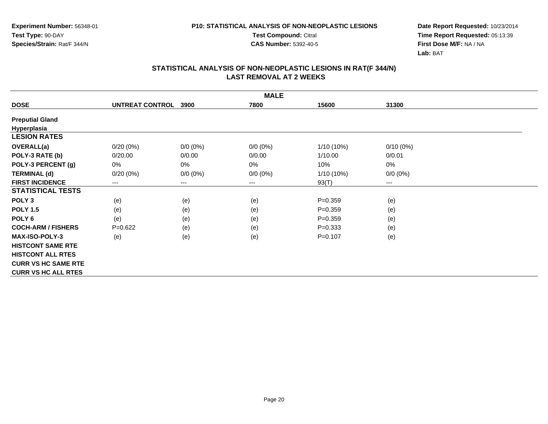**Test Compound:** Citral

**CAS Number:** 5392-40-5

**Date Report Requested:** 10/23/2014**Time Report Requested:** 05:13:39**First Dose M/F:** NA / NA**Lab:** BAT

|                            | <b>MALE</b>     |             |             |              |             |  |  |  |  |
|----------------------------|-----------------|-------------|-------------|--------------|-------------|--|--|--|--|
| <b>DOSE</b>                | UNTREAT CONTROL | 3900        | 7800        | 15600        | 31300       |  |  |  |  |
| <b>Preputial Gland</b>     |                 |             |             |              |             |  |  |  |  |
| Hyperplasia                |                 |             |             |              |             |  |  |  |  |
| <b>LESION RATES</b>        |                 |             |             |              |             |  |  |  |  |
| OVERALL(a)                 | $0/20(0\%)$     | $0/0(0\%)$  | $0/0 (0\%)$ | $1/10(10\%)$ | $0/10(0\%)$ |  |  |  |  |
| POLY-3 RATE (b)            | 0/20.00         | 0/0.00      | 0/0.00      | 1/10.00      | 0/0.01      |  |  |  |  |
| POLY-3 PERCENT (g)         | 0%              | 0%          | 0%          | 10%          | 0%          |  |  |  |  |
| <b>TERMINAL (d)</b>        | 0/20(0%)        | $0/0 (0\%)$ | $0/0 (0\%)$ | 1/10 (10%)   | $0/0 (0\%)$ |  |  |  |  |
| <b>FIRST INCIDENCE</b>     | ---             | ---         | $---$       | 93(T)        | $---$       |  |  |  |  |
| <b>STATISTICAL TESTS</b>   |                 |             |             |              |             |  |  |  |  |
| POLY <sub>3</sub>          | (e)             | (e)         | (e)         | $P = 0.359$  | (e)         |  |  |  |  |
| <b>POLY 1.5</b>            | (e)             | (e)         | (e)         | $P=0.359$    | (e)         |  |  |  |  |
| POLY <sub>6</sub>          | (e)             | (e)         | (e)         | $P = 0.359$  | (e)         |  |  |  |  |
| <b>COCH-ARM / FISHERS</b>  | $P=0.622$       | (e)         | (e)         | $P = 0.333$  | (e)         |  |  |  |  |
| <b>MAX-ISO-POLY-3</b>      | (e)             | (e)         | (e)         | $P=0.107$    | (e)         |  |  |  |  |
| <b>HISTCONT SAME RTE</b>   |                 |             |             |              |             |  |  |  |  |
| <b>HISTCONT ALL RTES</b>   |                 |             |             |              |             |  |  |  |  |
| <b>CURR VS HC SAME RTE</b> |                 |             |             |              |             |  |  |  |  |
| <b>CURR VS HC ALL RTES</b> |                 |             |             |              |             |  |  |  |  |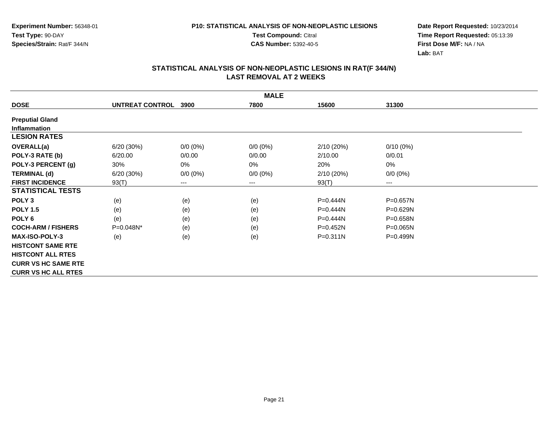**Test Compound:** Citral

**CAS Number:** 5392-40-5

**Date Report Requested:** 10/23/2014**Time Report Requested:** 05:13:39**First Dose M/F:** NA / NA**Lab:** BAT

|                            | <b>MALE</b>     |             |             |              |              |  |  |  |  |
|----------------------------|-----------------|-------------|-------------|--------------|--------------|--|--|--|--|
| <b>DOSE</b>                | UNTREAT CONTROL | 3900        | 7800        | 15600        | 31300        |  |  |  |  |
| <b>Preputial Gland</b>     |                 |             |             |              |              |  |  |  |  |
| <b>Inflammation</b>        |                 |             |             |              |              |  |  |  |  |
| <b>LESION RATES</b>        |                 |             |             |              |              |  |  |  |  |
| <b>OVERALL(a)</b>          | 6/20 (30%)      | $0/0 (0\%)$ | $0/0 (0\%)$ | 2/10(20%)    | $0/10(0\%)$  |  |  |  |  |
| POLY-3 RATE (b)            | 6/20.00         | 0/0.00      | 0/0.00      | 2/10.00      | 0/0.01       |  |  |  |  |
| POLY-3 PERCENT (g)         | 30%             | 0%          | 0%          | 20%          | 0%           |  |  |  |  |
| <b>TERMINAL (d)</b>        | 6/20 (30%)      | $0/0 (0\%)$ | $0/0 (0\%)$ | 2/10(20%)    | $0/0 (0\%)$  |  |  |  |  |
| <b>FIRST INCIDENCE</b>     | 93(T)           | ---         | $---$       | 93(T)        | ---          |  |  |  |  |
| <b>STATISTICAL TESTS</b>   |                 |             |             |              |              |  |  |  |  |
| POLY <sub>3</sub>          | (e)             | (e)         | (e)         | P=0.444N     | P=0.657N     |  |  |  |  |
| <b>POLY 1.5</b>            | (e)             | (e)         | (e)         | P=0.444N     | P=0.629N     |  |  |  |  |
| POLY 6                     | (e)             | (e)         | (e)         | P=0.444N     | P=0.658N     |  |  |  |  |
| <b>COCH-ARM / FISHERS</b>  | P=0.048N*       | (e)         | (e)         | $P = 0.452N$ | $P = 0.065N$ |  |  |  |  |
| <b>MAX-ISO-POLY-3</b>      | (e)             | (e)         | (e)         | $P = 0.311N$ | $P = 0.499N$ |  |  |  |  |
| <b>HISTCONT SAME RTE</b>   |                 |             |             |              |              |  |  |  |  |
| <b>HISTCONT ALL RTES</b>   |                 |             |             |              |              |  |  |  |  |
| <b>CURR VS HC SAME RTE</b> |                 |             |             |              |              |  |  |  |  |
| <b>CURR VS HC ALL RTES</b> |                 |             |             |              |              |  |  |  |  |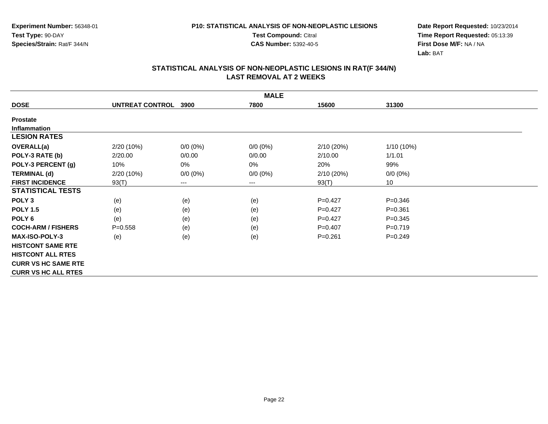**Test Compound:** Citral

**CAS Number:** 5392-40-5

**Date Report Requested:** 10/23/2014**Time Report Requested:** 05:13:39**First Dose M/F:** NA / NA**Lab:** BAT

|                            | <b>MALE</b>     |             |             |             |              |  |  |  |  |
|----------------------------|-----------------|-------------|-------------|-------------|--------------|--|--|--|--|
| <b>DOSE</b>                | UNTREAT CONTROL | 3900        | 7800        | 15600       | 31300        |  |  |  |  |
| <b>Prostate</b>            |                 |             |             |             |              |  |  |  |  |
| <b>Inflammation</b>        |                 |             |             |             |              |  |  |  |  |
| <b>LESION RATES</b>        |                 |             |             |             |              |  |  |  |  |
| OVERALL(a)                 | 2/20 (10%)      | $0/0 (0\%)$ | $0/0 (0\%)$ | 2/10(20%)   | $1/10(10\%)$ |  |  |  |  |
| POLY-3 RATE (b)            | 2/20.00         | 0/0.00      | 0/0.00      | 2/10.00     | 1/1.01       |  |  |  |  |
| POLY-3 PERCENT (g)         | 10%             | 0%          | 0%          | 20%         | 99%          |  |  |  |  |
| <b>TERMINAL (d)</b>        | 2/20 (10%)      | $0/0 (0\%)$ | $0/0 (0\%)$ | 2/10(20%)   | $0/0 (0\%)$  |  |  |  |  |
| <b>FIRST INCIDENCE</b>     | 93(T)           | $---$       | $--$        | 93(T)       | 10           |  |  |  |  |
| <b>STATISTICAL TESTS</b>   |                 |             |             |             |              |  |  |  |  |
| POLY <sub>3</sub>          | (e)             | (e)         | (e)         | $P=0.427$   | $P = 0.346$  |  |  |  |  |
| <b>POLY 1.5</b>            | (e)             | (e)         | (e)         | $P=0.427$   | $P = 0.361$  |  |  |  |  |
| POLY <sub>6</sub>          | (e)             | (e)         | (e)         | $P=0.427$   | $P = 0.345$  |  |  |  |  |
| <b>COCH-ARM / FISHERS</b>  | $P = 0.558$     | (e)         | (e)         | $P = 0.407$ | $P=0.719$    |  |  |  |  |
| <b>MAX-ISO-POLY-3</b>      | (e)             | (e)         | (e)         | $P = 0.261$ | $P = 0.249$  |  |  |  |  |
| <b>HISTCONT SAME RTE</b>   |                 |             |             |             |              |  |  |  |  |
| <b>HISTCONT ALL RTES</b>   |                 |             |             |             |              |  |  |  |  |
| <b>CURR VS HC SAME RTE</b> |                 |             |             |             |              |  |  |  |  |
| <b>CURR VS HC ALL RTES</b> |                 |             |             |             |              |  |  |  |  |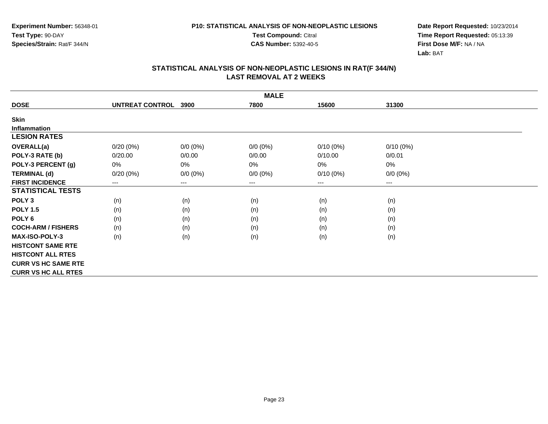**Test Compound:** Citral

**CAS Number:** 5392-40-5

**Date Report Requested:** 10/23/2014**Time Report Requested:** 05:13:39**First Dose M/F:** NA / NA**Lab:** BAT

|                            | <b>MALE</b>     |                        |             |             |             |  |  |  |  |
|----------------------------|-----------------|------------------------|-------------|-------------|-------------|--|--|--|--|
| <b>DOSE</b>                | UNTREAT CONTROL | 3900                   | 7800        | 15600       | 31300       |  |  |  |  |
| Skin                       |                 |                        |             |             |             |  |  |  |  |
| <b>Inflammation</b>        |                 |                        |             |             |             |  |  |  |  |
| <b>LESION RATES</b>        |                 |                        |             |             |             |  |  |  |  |
| <b>OVERALL(a)</b>          | $0/20(0\%)$     | $0/0 (0\%)$            | $0/0 (0\%)$ | $0/10(0\%)$ | $0/10(0\%)$ |  |  |  |  |
| POLY-3 RATE (b)            | 0/20.00         | 0/0.00                 | 0/0.00      | 0/10.00     | 0/0.01      |  |  |  |  |
| POLY-3 PERCENT (g)         | 0%              | 0%                     | 0%          | 0%          | 0%          |  |  |  |  |
| <b>TERMINAL (d)</b>        | 0/20(0%)        | $0/0 (0\%)$            | $0/0 (0\%)$ | $0/10(0\%)$ | $0/0 (0\%)$ |  |  |  |  |
| <b>FIRST INCIDENCE</b>     | ---             | $\qquad \qquad \cdots$ | $\cdots$    | $---$       | ---         |  |  |  |  |
| <b>STATISTICAL TESTS</b>   |                 |                        |             |             |             |  |  |  |  |
| POLY <sub>3</sub>          | (n)             | (n)                    | (n)         | (n)         | (n)         |  |  |  |  |
| <b>POLY 1.5</b>            | (n)             | (n)                    | (n)         | (n)         | (n)         |  |  |  |  |
| POLY <sub>6</sub>          | (n)             | (n)                    | (n)         | (n)         | (n)         |  |  |  |  |
| <b>COCH-ARM / FISHERS</b>  | (n)             | (n)                    | (n)         | (n)         | (n)         |  |  |  |  |
| <b>MAX-ISO-POLY-3</b>      | (n)             | (n)                    | (n)         | (n)         | (n)         |  |  |  |  |
| <b>HISTCONT SAME RTE</b>   |                 |                        |             |             |             |  |  |  |  |
| <b>HISTCONT ALL RTES</b>   |                 |                        |             |             |             |  |  |  |  |
| <b>CURR VS HC SAME RTE</b> |                 |                        |             |             |             |  |  |  |  |
| <b>CURR VS HC ALL RTES</b> |                 |                        |             |             |             |  |  |  |  |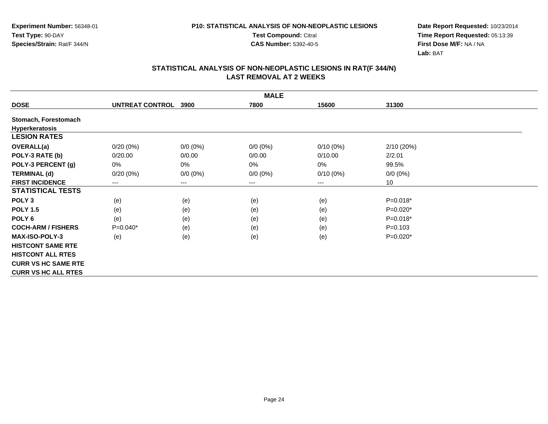**Test Compound:** Citral

**CAS Number:** 5392-40-5

**Date Report Requested:** 10/23/2014**Time Report Requested:** 05:13:39**First Dose M/F:** NA / NA**Lab:** BAT

|                            | <b>MALE</b>     |                        |                        |             |             |  |  |  |  |
|----------------------------|-----------------|------------------------|------------------------|-------------|-------------|--|--|--|--|
| <b>DOSE</b>                | UNTREAT CONTROL | 3900                   | 7800                   | 15600       | 31300       |  |  |  |  |
| Stomach, Forestomach       |                 |                        |                        |             |             |  |  |  |  |
| Hyperkeratosis             |                 |                        |                        |             |             |  |  |  |  |
| <b>LESION RATES</b>        |                 |                        |                        |             |             |  |  |  |  |
| OVERALL(a)                 | $0/20(0\%)$     | $0/0 (0\%)$            | $0/0(0\%)$             | $0/10(0\%)$ | 2/10 (20%)  |  |  |  |  |
| POLY-3 RATE (b)            | 0/20.00         | 0/0.00                 | 0/0.00                 | 0/10.00     | 2/2.01      |  |  |  |  |
| POLY-3 PERCENT (g)         | 0%              | $0\%$                  | 0%                     | 0%          | 99.5%       |  |  |  |  |
| <b>TERMINAL (d)</b>        | $0/20(0\%)$     | $0/0 (0\%)$            | $0/0 (0\%)$            | $0/10(0\%)$ | $0/0 (0\%)$ |  |  |  |  |
| <b>FIRST INCIDENCE</b>     | ---             | $\qquad \qquad \cdots$ | $\qquad \qquad \cdots$ | $---$       | 10          |  |  |  |  |
| <b>STATISTICAL TESTS</b>   |                 |                        |                        |             |             |  |  |  |  |
| POLY <sub>3</sub>          | (e)             | (e)                    | (e)                    | (e)         | $P=0.018*$  |  |  |  |  |
| <b>POLY 1.5</b>            | (e)             | (e)                    | (e)                    | (e)         | $P=0.020*$  |  |  |  |  |
| POLY <sub>6</sub>          | (e)             | (e)                    | (e)                    | (e)         | $P=0.018*$  |  |  |  |  |
| <b>COCH-ARM / FISHERS</b>  | $P=0.040*$      | (e)                    | (e)                    | (e)         | $P = 0.103$ |  |  |  |  |
| <b>MAX-ISO-POLY-3</b>      | (e)             | (e)                    | (e)                    | (e)         | $P=0.020*$  |  |  |  |  |
| <b>HISTCONT SAME RTE</b>   |                 |                        |                        |             |             |  |  |  |  |
| <b>HISTCONT ALL RTES</b>   |                 |                        |                        |             |             |  |  |  |  |
| <b>CURR VS HC SAME RTE</b> |                 |                        |                        |             |             |  |  |  |  |
| <b>CURR VS HC ALL RTES</b> |                 |                        |                        |             |             |  |  |  |  |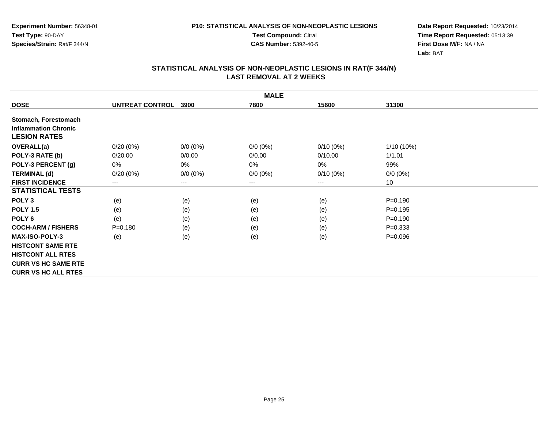**Test Compound:** Citral

**CAS Number:** 5392-40-5

**Date Report Requested:** 10/23/2014**Time Report Requested:** 05:13:39**First Dose M/F:** NA / NA**Lab:** BAT

|                             |                 |             | <b>MALE</b> |             |             |  |
|-----------------------------|-----------------|-------------|-------------|-------------|-------------|--|
| <b>DOSE</b>                 | UNTREAT CONTROL | 3900        | 7800        | 15600       | 31300       |  |
| Stomach, Forestomach        |                 |             |             |             |             |  |
| <b>Inflammation Chronic</b> |                 |             |             |             |             |  |
| <b>LESION RATES</b>         |                 |             |             |             |             |  |
| <b>OVERALL(a)</b>           | $0/20(0\%)$     | $0/0(0\%)$  | $0/0 (0\%)$ | 0/10(0%)    | 1/10 (10%)  |  |
| POLY-3 RATE (b)             | 0/20.00         | 0/0.00      | 0/0.00      | 0/10.00     | 1/1.01      |  |
| POLY-3 PERCENT (g)          | 0%              | 0%          | 0%          | 0%          | 99%         |  |
| <b>TERMINAL (d)</b>         | 0/20(0%)        | $0/0 (0\%)$ | $0/0 (0\%)$ | $0/10(0\%)$ | $0/0 (0\%)$ |  |
| <b>FIRST INCIDENCE</b>      | ---             | $---$       | $--$        | $--$        | 10          |  |
| <b>STATISTICAL TESTS</b>    |                 |             |             |             |             |  |
| POLY <sub>3</sub>           | (e)             | (e)         | (e)         | (e)         | $P = 0.190$ |  |
| <b>POLY 1.5</b>             | (e)             | (e)         | (e)         | (e)         | $P=0.195$   |  |
| POLY <sub>6</sub>           | (e)             | (e)         | (e)         | (e)         | $P = 0.190$ |  |
| <b>COCH-ARM / FISHERS</b>   | $P = 0.180$     | (e)         | (e)         | (e)         | $P = 0.333$ |  |
| <b>MAX-ISO-POLY-3</b>       | (e)             | (e)         | (e)         | (e)         | $P = 0.096$ |  |
| <b>HISTCONT SAME RTE</b>    |                 |             |             |             |             |  |
| <b>HISTCONT ALL RTES</b>    |                 |             |             |             |             |  |
| <b>CURR VS HC SAME RTE</b>  |                 |             |             |             |             |  |
| <b>CURR VS HC ALL RTES</b>  |                 |             |             |             |             |  |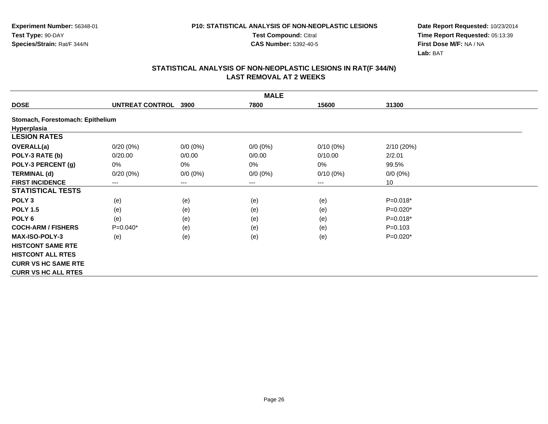**Test Compound:** Citral

**CAS Number:** 5392-40-5

**Date Report Requested:** 10/23/2014**Time Report Requested:** 05:13:39**First Dose M/F:** NA / NA**Lab:** BAT

|                                  |                 |             | <b>MALE</b> |             |             |  |
|----------------------------------|-----------------|-------------|-------------|-------------|-------------|--|
| <b>DOSE</b>                      | UNTREAT CONTROL | 3900        | 7800        | 15600       | 31300       |  |
| Stomach, Forestomach: Epithelium |                 |             |             |             |             |  |
| Hyperplasia                      |                 |             |             |             |             |  |
| <b>LESION RATES</b>              |                 |             |             |             |             |  |
| OVERALL(a)                       | $0/20(0\%)$     | $0/0(0\%)$  | $0/0(0\%)$  | $0/10(0\%)$ | 2/10 (20%)  |  |
| POLY-3 RATE (b)                  | 0/20.00         | 0/0.00      | 0/0.00      | 0/10.00     | 2/2.01      |  |
| POLY-3 PERCENT (g)               | 0%              | 0%          | 0%          | 0%          | 99.5%       |  |
| <b>TERMINAL (d)</b>              | 0/20(0%)        | $0/0 (0\%)$ | $0/0 (0\%)$ | $0/10(0\%)$ | $0/0 (0\%)$ |  |
| <b>FIRST INCIDENCE</b>           | $---$           | $---$       | $---$       | $---$       | 10          |  |
| <b>STATISTICAL TESTS</b>         |                 |             |             |             |             |  |
| POLY <sub>3</sub>                | (e)             | (e)         | (e)         | (e)         | $P=0.018*$  |  |
| <b>POLY 1.5</b>                  | (e)             | (e)         | (e)         | (e)         | $P=0.020*$  |  |
| POLY <sub>6</sub>                | (e)             | (e)         | (e)         | (e)         | P=0.018*    |  |
| <b>COCH-ARM / FISHERS</b>        | $P=0.040*$      | (e)         | (e)         | (e)         | $P = 0.103$ |  |
| <b>MAX-ISO-POLY-3</b>            | (e)             | (e)         | (e)         | (e)         | $P=0.020*$  |  |
| <b>HISTCONT SAME RTE</b>         |                 |             |             |             |             |  |
| <b>HISTCONT ALL RTES</b>         |                 |             |             |             |             |  |
| <b>CURR VS HC SAME RTE</b>       |                 |             |             |             |             |  |
| <b>CURR VS HC ALL RTES</b>       |                 |             |             |             |             |  |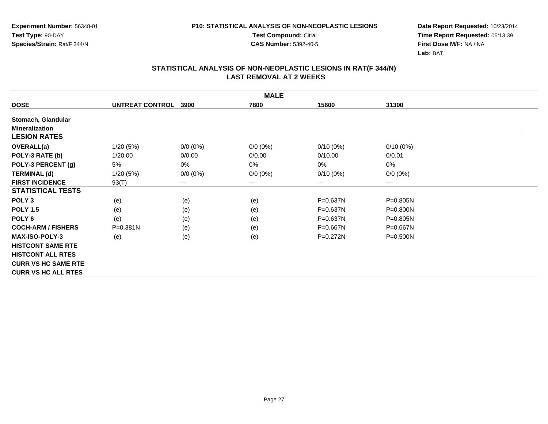**Test Compound:** Citral

**CAS Number:** 5392-40-5

**Date Report Requested:** 10/23/2014**Time Report Requested:** 05:13:39**First Dose M/F:** NA / NA**Lab:** BAT

|                            | <b>MALE</b>     |             |             |              |              |  |  |  |
|----------------------------|-----------------|-------------|-------------|--------------|--------------|--|--|--|
| <b>DOSE</b>                | UNTREAT CONTROL | 3900        | 7800        | 15600        | 31300        |  |  |  |
| Stomach, Glandular         |                 |             |             |              |              |  |  |  |
| <b>Mineralization</b>      |                 |             |             |              |              |  |  |  |
| <b>LESION RATES</b>        |                 |             |             |              |              |  |  |  |
| <b>OVERALL(a)</b>          | 1/20(5%)        | $0/0 (0\%)$ | $0/0 (0\%)$ | $0/10(0\%)$  | $0/10(0\%)$  |  |  |  |
| POLY-3 RATE (b)            | 1/20.00         | 0/0.00      | 0/0.00      | 0/10.00      | 0/0.01       |  |  |  |
| POLY-3 PERCENT (g)         | 5%              | 0%          | 0%          | 0%           | 0%           |  |  |  |
| <b>TERMINAL (d)</b>        | 1/20(5%)        | $0/0 (0\%)$ | $0/0 (0\%)$ | $0/10(0\%)$  | $0/0 (0\%)$  |  |  |  |
| <b>FIRST INCIDENCE</b>     | 93(T)           | $---$       | $--$        | ---          | ---          |  |  |  |
| <b>STATISTICAL TESTS</b>   |                 |             |             |              |              |  |  |  |
| POLY <sub>3</sub>          | (e)             | (e)         | (e)         | $P = 0.637N$ | P=0.805N     |  |  |  |
| <b>POLY 1.5</b>            | (e)             | (e)         | (e)         | $P = 0.637N$ | P=0.800N     |  |  |  |
| POLY <sub>6</sub>          | (e)             | (e)         | (e)         | $P = 0.637N$ | P=0.805N     |  |  |  |
| <b>COCH-ARM / FISHERS</b>  | P=0.381N        | (e)         | (e)         | $P = 0.667N$ | $P = 0.667N$ |  |  |  |
| <b>MAX-ISO-POLY-3</b>      | (e)             | (e)         | (e)         | $P = 0.272N$ | P=0.500N     |  |  |  |
| <b>HISTCONT SAME RTE</b>   |                 |             |             |              |              |  |  |  |
| <b>HISTCONT ALL RTES</b>   |                 |             |             |              |              |  |  |  |
| <b>CURR VS HC SAME RTE</b> |                 |             |             |              |              |  |  |  |
| <b>CURR VS HC ALL RTES</b> |                 |             |             |              |              |  |  |  |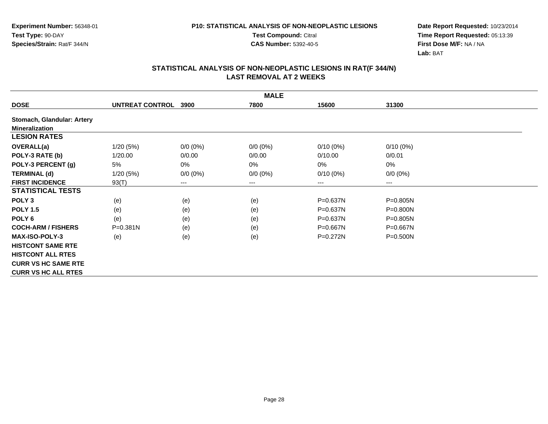**Test Compound:** Citral

**CAS Number:** 5392-40-5

**Date Report Requested:** 10/23/2014**Time Report Requested:** 05:13:39**First Dose M/F:** NA / NA**Lab:** BAT

|                            | <b>MALE</b>     |             |             |              |              |  |  |  |
|----------------------------|-----------------|-------------|-------------|--------------|--------------|--|--|--|
| <b>DOSE</b>                | UNTREAT CONTROL | 3900        | 7800        | 15600        | 31300        |  |  |  |
| Stomach, Glandular: Artery |                 |             |             |              |              |  |  |  |
| <b>Mineralization</b>      |                 |             |             |              |              |  |  |  |
| <b>LESION RATES</b>        |                 |             |             |              |              |  |  |  |
| <b>OVERALL(a)</b>          | 1/20(5%)        | $0/0(0\%)$  | $0/0 (0\%)$ | $0/10(0\%)$  | $0/10(0\%)$  |  |  |  |
| POLY-3 RATE (b)            | 1/20.00         | 0/0.00      | 0/0.00      | 0/10.00      | 0/0.01       |  |  |  |
| POLY-3 PERCENT (g)         | 5%              | 0%          | 0%          | 0%           | 0%           |  |  |  |
| <b>TERMINAL (d)</b>        | 1/20(5%)        | $0/0 (0\%)$ | $0/0 (0\%)$ | $0/10(0\%)$  | $0/0 (0\%)$  |  |  |  |
| <b>FIRST INCIDENCE</b>     | 93(T)           | $---$       | $--$        | $--$         | ---          |  |  |  |
| <b>STATISTICAL TESTS</b>   |                 |             |             |              |              |  |  |  |
| POLY <sub>3</sub>          | (e)             | (e)         | (e)         | $P = 0.637N$ | $P = 0.805N$ |  |  |  |
| <b>POLY 1.5</b>            | (e)             | (e)         | (e)         | $P = 0.637N$ | $P = 0.800N$ |  |  |  |
| POLY <sub>6</sub>          | (e)             | (e)         | (e)         | P=0.637N     | P=0.805N     |  |  |  |
| <b>COCH-ARM / FISHERS</b>  | P=0.381N        | (e)         | (e)         | P=0.667N     | P=0.667N     |  |  |  |
| <b>MAX-ISO-POLY-3</b>      | (e)             | (e)         | (e)         | $P=0.272N$   | $P = 0.500N$ |  |  |  |
| <b>HISTCONT SAME RTE</b>   |                 |             |             |              |              |  |  |  |
| <b>HISTCONT ALL RTES</b>   |                 |             |             |              |              |  |  |  |
| <b>CURR VS HC SAME RTE</b> |                 |             |             |              |              |  |  |  |
| <b>CURR VS HC ALL RTES</b> |                 |             |             |              |              |  |  |  |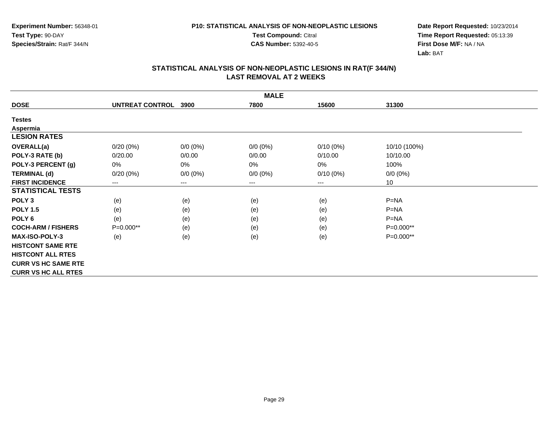**Test Compound:** Citral

**CAS Number:** 5392-40-5

**Date Report Requested:** 10/23/2014**Time Report Requested:** 05:13:39**First Dose M/F:** NA / NA**Lab:** BAT

|                            | <b>MALE</b>            |                        |             |             |              |  |  |  |
|----------------------------|------------------------|------------------------|-------------|-------------|--------------|--|--|--|
| <b>DOSE</b>                | <b>UNTREAT CONTROL</b> | 3900                   | 7800        | 15600       | 31300        |  |  |  |
| <b>Testes</b>              |                        |                        |             |             |              |  |  |  |
| Aspermia                   |                        |                        |             |             |              |  |  |  |
| <b>LESION RATES</b>        |                        |                        |             |             |              |  |  |  |
| <b>OVERALL(a)</b>          | $0/20(0\%)$            | $0/0(0\%)$             | $0/0 (0\%)$ | $0/10(0\%)$ | 10/10 (100%) |  |  |  |
| POLY-3 RATE (b)            | 0/20.00                | 0/0.00                 | 0/0.00      | 0/10.00     | 10/10.00     |  |  |  |
| POLY-3 PERCENT (g)         | 0%                     | 0%                     | 0%          | 0%          | 100%         |  |  |  |
| <b>TERMINAL (d)</b>        | 0/20(0%)               | $0/0 (0\%)$            | $0/0 (0\%)$ | $0/10(0\%)$ | $0/0 (0\%)$  |  |  |  |
| <b>FIRST INCIDENCE</b>     | ---                    | $\qquad \qquad \cdots$ | $\cdots$    | $---$       | 10           |  |  |  |
| <b>STATISTICAL TESTS</b>   |                        |                        |             |             |              |  |  |  |
| POLY <sub>3</sub>          | (e)                    | (e)                    | (e)         | (e)         | $P=NA$       |  |  |  |
| <b>POLY 1.5</b>            | (e)                    | (e)                    | (e)         | (e)         | $P = NA$     |  |  |  |
| POLY <sub>6</sub>          | (e)                    | (e)                    | (e)         | (e)         | $P=NA$       |  |  |  |
| <b>COCH-ARM / FISHERS</b>  | P=0.000**              | (e)                    | (e)         | (e)         | P=0.000**    |  |  |  |
| <b>MAX-ISO-POLY-3</b>      | (e)                    | (e)                    | (e)         | (e)         | $P=0.000**$  |  |  |  |
| <b>HISTCONT SAME RTE</b>   |                        |                        |             |             |              |  |  |  |
| <b>HISTCONT ALL RTES</b>   |                        |                        |             |             |              |  |  |  |
| <b>CURR VS HC SAME RTE</b> |                        |                        |             |             |              |  |  |  |
| <b>CURR VS HC ALL RTES</b> |                        |                        |             |             |              |  |  |  |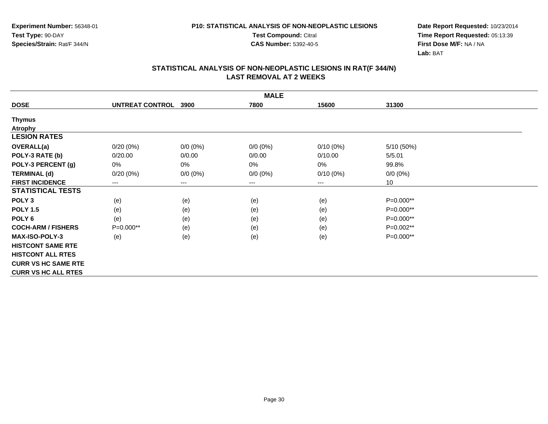**Test Compound:** Citral

**CAS Number:** 5392-40-5

**Date Report Requested:** 10/23/2014**Time Report Requested:** 05:13:39**First Dose M/F:** NA / NA**Lab:** BAT

|                            | <b>MALE</b>            |             |                        |             |             |  |  |  |
|----------------------------|------------------------|-------------|------------------------|-------------|-------------|--|--|--|
| <b>DOSE</b>                | <b>UNTREAT CONTROL</b> | 3900        | 7800                   | 15600       | 31300       |  |  |  |
| <b>Thymus</b>              |                        |             |                        |             |             |  |  |  |
| <b>Atrophy</b>             |                        |             |                        |             |             |  |  |  |
| <b>LESION RATES</b>        |                        |             |                        |             |             |  |  |  |
| <b>OVERALL(a)</b>          | 0/20(0%)               | $0/0 (0\%)$ | $0/0 (0\%)$            | 0/10(0%)    | 5/10 (50%)  |  |  |  |
| POLY-3 RATE (b)            | 0/20.00                | 0/0.00      | 0/0.00                 | 0/10.00     | 5/5.01      |  |  |  |
| POLY-3 PERCENT (g)         | 0%                     | 0%          | 0%                     | 0%          | 99.8%       |  |  |  |
| <b>TERMINAL (d)</b>        | $0/20(0\%)$            | $0/0 (0\%)$ | $0/0 (0\%)$            | $0/10(0\%)$ | $0/0 (0\%)$ |  |  |  |
| <b>FIRST INCIDENCE</b>     | $---$                  | $---$       | $\qquad \qquad \cdots$ | ---         | 10          |  |  |  |
| <b>STATISTICAL TESTS</b>   |                        |             |                        |             |             |  |  |  |
| POLY <sub>3</sub>          | (e)                    | (e)         | (e)                    | (e)         | P=0.000**   |  |  |  |
| <b>POLY 1.5</b>            | (e)                    | (e)         | (e)                    | (e)         | P=0.000**   |  |  |  |
| POLY <sub>6</sub>          | (e)                    | (e)         | (e)                    | (e)         | $P=0.000**$ |  |  |  |
| <b>COCH-ARM / FISHERS</b>  | P=0.000**              | (e)         | (e)                    | (e)         | P=0.002**   |  |  |  |
| <b>MAX-ISO-POLY-3</b>      | (e)                    | (e)         | (e)                    | (e)         | P=0.000**   |  |  |  |
| <b>HISTCONT SAME RTE</b>   |                        |             |                        |             |             |  |  |  |
| <b>HISTCONT ALL RTES</b>   |                        |             |                        |             |             |  |  |  |
| <b>CURR VS HC SAME RTE</b> |                        |             |                        |             |             |  |  |  |
| <b>CURR VS HC ALL RTES</b> |                        |             |                        |             |             |  |  |  |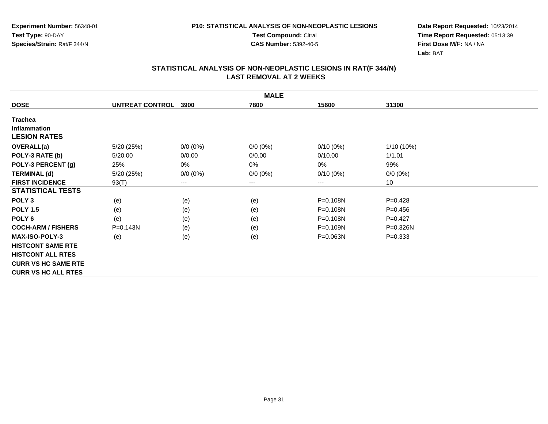**Test Compound:** Citral

**CAS Number:** 5392-40-5

**Date Report Requested:** 10/23/2014**Time Report Requested:** 05:13:39**First Dose M/F:** NA / NA**Lab:** BAT

|                            | <b>MALE</b>     |             |             |              |             |  |  |  |
|----------------------------|-----------------|-------------|-------------|--------------|-------------|--|--|--|
| <b>DOSE</b>                | UNTREAT CONTROL | 3900        | 7800        | 15600        | 31300       |  |  |  |
| <b>Trachea</b>             |                 |             |             |              |             |  |  |  |
| Inflammation               |                 |             |             |              |             |  |  |  |
| <b>LESION RATES</b>        |                 |             |             |              |             |  |  |  |
| <b>OVERALL(a)</b>          | 5/20 (25%)      | $0/0 (0\%)$ | $0/0 (0\%)$ | $0/10(0\%)$  | 1/10 (10%)  |  |  |  |
| POLY-3 RATE (b)            | 5/20.00         | 0/0.00      | 0/0.00      | 0/10.00      | 1/1.01      |  |  |  |
| POLY-3 PERCENT (g)         | 25%             | 0%          | 0%          | 0%           | 99%         |  |  |  |
| <b>TERMINAL (d)</b>        | 5/20 (25%)      | $0/0 (0\%)$ | $0/0 (0\%)$ | $0/10(0\%)$  | $0/0 (0\%)$ |  |  |  |
| <b>FIRST INCIDENCE</b>     | 93(T)           | ---         | $---$       | ---          | 10          |  |  |  |
| <b>STATISTICAL TESTS</b>   |                 |             |             |              |             |  |  |  |
| POLY <sub>3</sub>          | (e)             | (e)         | (e)         | P=0.108N     | $P=0.428$   |  |  |  |
| <b>POLY 1.5</b>            | (e)             | (e)         | (e)         | P=0.108N     | $P = 0.456$ |  |  |  |
| POLY 6                     | (e)             | (e)         | (e)         | P=0.108N     | $P=0.427$   |  |  |  |
| <b>COCH-ARM / FISHERS</b>  | $P = 0.143N$    | (e)         | (e)         | P=0.109N     | P=0.326N    |  |  |  |
| <b>MAX-ISO-POLY-3</b>      | (e)             | (e)         | (e)         | $P = 0.063N$ | $P = 0.333$ |  |  |  |
| <b>HISTCONT SAME RTE</b>   |                 |             |             |              |             |  |  |  |
| <b>HISTCONT ALL RTES</b>   |                 |             |             |              |             |  |  |  |
| <b>CURR VS HC SAME RTE</b> |                 |             |             |              |             |  |  |  |
| <b>CURR VS HC ALL RTES</b> |                 |             |             |              |             |  |  |  |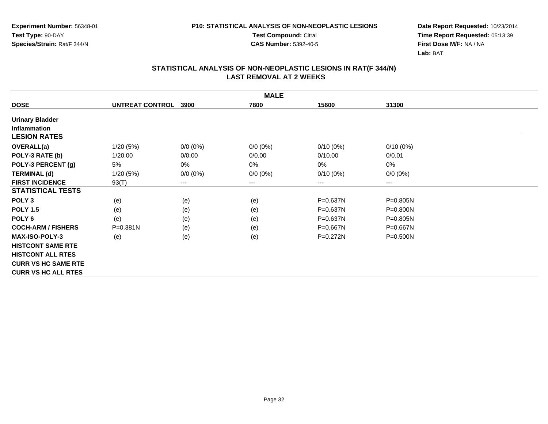**Test Compound:** Citral

**CAS Number:** 5392-40-5

**Date Report Requested:** 10/23/2014**Time Report Requested:** 05:13:39**First Dose M/F:** NA / NA**Lab:** BAT

|                            | <b>MALE</b>     |             |             |              |              |  |  |  |
|----------------------------|-----------------|-------------|-------------|--------------|--------------|--|--|--|
| <b>DOSE</b>                | UNTREAT CONTROL | 3900        | 7800        | 15600        | 31300        |  |  |  |
| <b>Urinary Bladder</b>     |                 |             |             |              |              |  |  |  |
| <b>Inflammation</b>        |                 |             |             |              |              |  |  |  |
| <b>LESION RATES</b>        |                 |             |             |              |              |  |  |  |
| <b>OVERALL(a)</b>          | 1/20(5%)        | $0/0 (0\%)$ | $0/0 (0\%)$ | $0/10(0\%)$  | $0/10(0\%)$  |  |  |  |
| POLY-3 RATE (b)            | 1/20.00         | 0/0.00      | 0/0.00      | 0/10.00      | 0/0.01       |  |  |  |
| POLY-3 PERCENT (g)         | 5%              | 0%          | 0%          | 0%           | 0%           |  |  |  |
| <b>TERMINAL (d)</b>        | 1/20(5%)        | $0/0 (0\%)$ | $0/0 (0\%)$ | $0/10(0\%)$  | $0/0 (0\%)$  |  |  |  |
| <b>FIRST INCIDENCE</b>     | 93(T)           | ---         | $---$       | $---$        | ---          |  |  |  |
| <b>STATISTICAL TESTS</b>   |                 |             |             |              |              |  |  |  |
| POLY <sub>3</sub>          | (e)             | (e)         | (e)         | $P = 0.637N$ | P=0.805N     |  |  |  |
| <b>POLY 1.5</b>            | (e)             | (e)         | (e)         | $P = 0.637N$ | P=0.800N     |  |  |  |
| POLY 6                     | (e)             | (e)         | (e)         | $P = 0.637N$ | P=0.805N     |  |  |  |
| <b>COCH-ARM / FISHERS</b>  | P=0.381N        | (e)         | (e)         | P=0.667N     | P=0.667N     |  |  |  |
| <b>MAX-ISO-POLY-3</b>      | (e)             | (e)         | (e)         | $P = 0.272N$ | $P = 0.500N$ |  |  |  |
| <b>HISTCONT SAME RTE</b>   |                 |             |             |              |              |  |  |  |
| <b>HISTCONT ALL RTES</b>   |                 |             |             |              |              |  |  |  |
| <b>CURR VS HC SAME RTE</b> |                 |             |             |              |              |  |  |  |
| <b>CURR VS HC ALL RTES</b> |                 |             |             |              |              |  |  |  |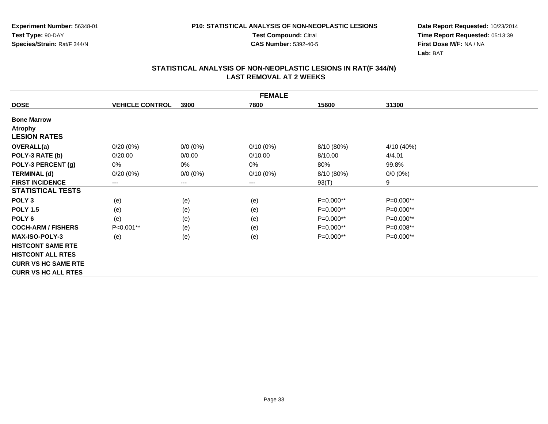**Test Compound:** Citral

**CAS Number:** 5392-40-5

**Date Report Requested:** 10/23/2014**Time Report Requested:** 05:13:39**First Dose M/F:** NA / NA**Lab:** BAT

|                            | <b>FEMALE</b>          |             |             |             |             |  |  |  |
|----------------------------|------------------------|-------------|-------------|-------------|-------------|--|--|--|
| <b>DOSE</b>                | <b>VEHICLE CONTROL</b> | 3900        | 7800        | 15600       | 31300       |  |  |  |
| <b>Bone Marrow</b>         |                        |             |             |             |             |  |  |  |
| <b>Atrophy</b>             |                        |             |             |             |             |  |  |  |
| <b>LESION RATES</b>        |                        |             |             |             |             |  |  |  |
| OVERALL(a)                 | $0/20(0\%)$            | $0/0 (0\%)$ | $0/10(0\%)$ | 8/10 (80%)  | 4/10 (40%)  |  |  |  |
| POLY-3 RATE (b)            | 0/20.00                | 0/0.00      | 0/10.00     | 8/10.00     | 4/4.01      |  |  |  |
| POLY-3 PERCENT (g)         | 0%                     | 0%          | 0%          | 80%         | 99.8%       |  |  |  |
| <b>TERMINAL (d)</b>        | $0/20(0\%)$            | $0/0 (0\%)$ | $0/10(0\%)$ | 8/10 (80%)  | $0/0 (0\%)$ |  |  |  |
| <b>FIRST INCIDENCE</b>     | ---                    | ---         | $---$       | 93(T)       | 9           |  |  |  |
| <b>STATISTICAL TESTS</b>   |                        |             |             |             |             |  |  |  |
| POLY <sub>3</sub>          | (e)                    | (e)         | (e)         | P=0.000**   | P=0.000**   |  |  |  |
| <b>POLY 1.5</b>            | (e)                    | (e)         | (e)         | P=0.000**   | P=0.000**   |  |  |  |
| POLY 6                     | (e)                    | (e)         | (e)         | $P=0.000**$ | P=0.000**   |  |  |  |
| <b>COCH-ARM / FISHERS</b>  | P<0.001**              | (e)         | (e)         | $P=0.000**$ | P=0.008**   |  |  |  |
| <b>MAX-ISO-POLY-3</b>      | (e)                    | (e)         | (e)         | P=0.000**   | P=0.000**   |  |  |  |
| <b>HISTCONT SAME RTE</b>   |                        |             |             |             |             |  |  |  |
| <b>HISTCONT ALL RTES</b>   |                        |             |             |             |             |  |  |  |
| <b>CURR VS HC SAME RTE</b> |                        |             |             |             |             |  |  |  |
| <b>CURR VS HC ALL RTES</b> |                        |             |             |             |             |  |  |  |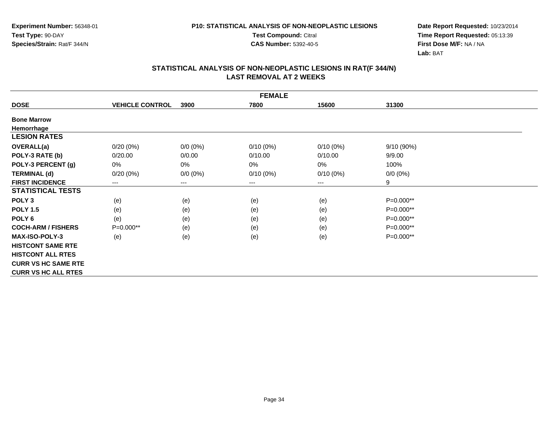**Test Compound:** Citral

**CAS Number:** 5392-40-5

**Date Report Requested:** 10/23/2014**Time Report Requested:** 05:13:39**First Dose M/F:** NA / NA**Lab:** BAT

|                            | <b>FEMALE</b>          |             |             |             |             |  |  |  |
|----------------------------|------------------------|-------------|-------------|-------------|-------------|--|--|--|
| <b>DOSE</b>                | <b>VEHICLE CONTROL</b> | 3900        | 7800        | 15600       | 31300       |  |  |  |
| <b>Bone Marrow</b>         |                        |             |             |             |             |  |  |  |
| Hemorrhage                 |                        |             |             |             |             |  |  |  |
| <b>LESION RATES</b>        |                        |             |             |             |             |  |  |  |
| <b>OVERALL(a)</b>          | $0/20(0\%)$            | $0/0 (0\%)$ | $0/10(0\%)$ | $0/10(0\%)$ | 9/10 (90%)  |  |  |  |
| POLY-3 RATE (b)            | 0/20.00                | 0/0.00      | 0/10.00     | 0/10.00     | 9/9.00      |  |  |  |
| POLY-3 PERCENT (g)         | 0%                     | 0%          | 0%          | 0%          | 100%        |  |  |  |
| <b>TERMINAL (d)</b>        | $0/20(0\%)$            | $0/0 (0\%)$ | $0/10(0\%)$ | $0/10(0\%)$ | $0/0 (0\%)$ |  |  |  |
| <b>FIRST INCIDENCE</b>     | $\qquad \qquad \cdots$ | ---         | $---$       | $---$       | 9           |  |  |  |
| <b>STATISTICAL TESTS</b>   |                        |             |             |             |             |  |  |  |
| POLY <sub>3</sub>          | (e)                    | (e)         | (e)         | (e)         | P=0.000**   |  |  |  |
| <b>POLY 1.5</b>            | (e)                    | (e)         | (e)         | (e)         | $P=0.000**$ |  |  |  |
| POLY 6                     | (e)                    | (e)         | (e)         | (e)         | P=0.000**   |  |  |  |
| <b>COCH-ARM / FISHERS</b>  | $P=0.000**$            | (e)         | (e)         | (e)         | $P=0.000**$ |  |  |  |
| <b>MAX-ISO-POLY-3</b>      | (e)                    | (e)         | (e)         | (e)         | P=0.000**   |  |  |  |
| <b>HISTCONT SAME RTE</b>   |                        |             |             |             |             |  |  |  |
| <b>HISTCONT ALL RTES</b>   |                        |             |             |             |             |  |  |  |
| <b>CURR VS HC SAME RTE</b> |                        |             |             |             |             |  |  |  |
| <b>CURR VS HC ALL RTES</b> |                        |             |             |             |             |  |  |  |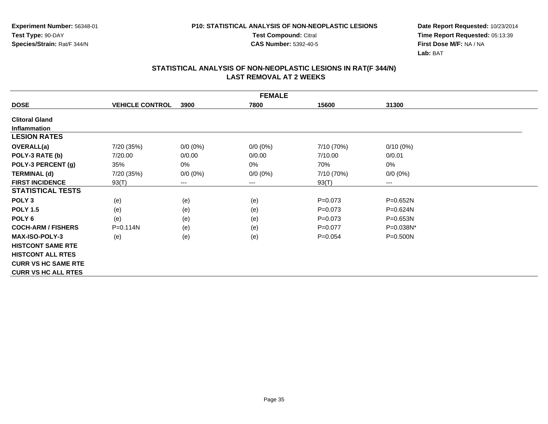**Test Compound:** Citral

**CAS Number:** 5392-40-5

**Date Report Requested:** 10/23/2014**Time Report Requested:** 05:13:39**First Dose M/F:** NA / NA**Lab:** BAT

|                            | <b>FEMALE</b>          |                        |             |            |              |  |  |  |
|----------------------------|------------------------|------------------------|-------------|------------|--------------|--|--|--|
| <b>DOSE</b>                | <b>VEHICLE CONTROL</b> | 3900                   | 7800        | 15600      | 31300        |  |  |  |
| <b>Clitoral Gland</b>      |                        |                        |             |            |              |  |  |  |
| <b>Inflammation</b>        |                        |                        |             |            |              |  |  |  |
| <b>LESION RATES</b>        |                        |                        |             |            |              |  |  |  |
| <b>OVERALL(a)</b>          | 7/20 (35%)             | $0/0 (0\%)$            | $0/0 (0\%)$ | 7/10 (70%) | $0/10(0\%)$  |  |  |  |
| POLY-3 RATE (b)            | 7/20.00                | 0/0.00                 | 0/0.00      | 7/10.00    | 0/0.01       |  |  |  |
| POLY-3 PERCENT (g)         | 35%                    | 0%                     | 0%          | 70%        | 0%           |  |  |  |
| <b>TERMINAL (d)</b>        | 7/20 (35%)             | $0/0 (0\%)$            | $0/0 (0\%)$ | 7/10 (70%) | $0/0 (0\%)$  |  |  |  |
| <b>FIRST INCIDENCE</b>     | 93(T)                  | $\qquad \qquad \cdots$ | $---$       | 93(T)      | $--$         |  |  |  |
| <b>STATISTICAL TESTS</b>   |                        |                        |             |            |              |  |  |  |
| POLY <sub>3</sub>          | (e)                    | (e)                    | (e)         | $P=0.073$  | $P = 0.652N$ |  |  |  |
| <b>POLY 1.5</b>            | (e)                    | (e)                    | (e)         | $P=0.073$  | P=0.624N     |  |  |  |
| POLY <sub>6</sub>          | (e)                    | (e)                    | (e)         | $P=0.073$  | $P = 0.653N$ |  |  |  |
| <b>COCH-ARM / FISHERS</b>  | $P = 0.114N$           | (e)                    | (e)         | $P=0.077$  | P=0.038N*    |  |  |  |
| <b>MAX-ISO-POLY-3</b>      | (e)                    | (e)                    | (e)         | $P=0.054$  | $P = 0.500N$ |  |  |  |
| <b>HISTCONT SAME RTE</b>   |                        |                        |             |            |              |  |  |  |
| <b>HISTCONT ALL RTES</b>   |                        |                        |             |            |              |  |  |  |
| <b>CURR VS HC SAME RTE</b> |                        |                        |             |            |              |  |  |  |
| <b>CURR VS HC ALL RTES</b> |                        |                        |             |            |              |  |  |  |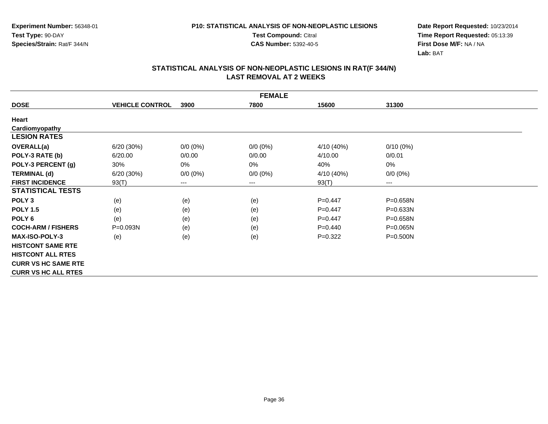**Test Compound:** Citral

**CAS Number:** 5392-40-5

**Date Report Requested:** 10/23/2014**Time Report Requested:** 05:13:39**First Dose M/F:** NA / NA**Lab:** BAT

|                            | <b>FEMALE</b>          |             |             |            |              |  |  |  |
|----------------------------|------------------------|-------------|-------------|------------|--------------|--|--|--|
| <b>DOSE</b>                | <b>VEHICLE CONTROL</b> | 3900        | 7800        | 15600      | 31300        |  |  |  |
| Heart                      |                        |             |             |            |              |  |  |  |
| Cardiomyopathy             |                        |             |             |            |              |  |  |  |
| <b>LESION RATES</b>        |                        |             |             |            |              |  |  |  |
| OVERALL(a)                 | 6/20 (30%)             | $0/0 (0\%)$ | $0/0 (0\%)$ | 4/10 (40%) | $0/10(0\%)$  |  |  |  |
| POLY-3 RATE (b)            | 6/20.00                | 0/0.00      | 0/0.00      | 4/10.00    | 0/0.01       |  |  |  |
| POLY-3 PERCENT (g)         | 30%                    | 0%          | 0%          | 40%        | 0%           |  |  |  |
| <b>TERMINAL (d)</b>        | 6/20(30%)              | $0/0 (0\%)$ | $0/0 (0\%)$ | 4/10 (40%) | $0/0 (0\%)$  |  |  |  |
| <b>FIRST INCIDENCE</b>     | 93(T)                  | $---$       | $--$        | 93(T)      | ---          |  |  |  |
| <b>STATISTICAL TESTS</b>   |                        |             |             |            |              |  |  |  |
| POLY <sub>3</sub>          | (e)                    | (e)         | (e)         | $P=0.447$  | P=0.658N     |  |  |  |
| <b>POLY 1.5</b>            | (e)                    | (e)         | (e)         | $P=0.447$  | P=0.633N     |  |  |  |
| POLY <sub>6</sub>          | (e)                    | (e)         | (e)         | $P=0.447$  | P=0.658N     |  |  |  |
| <b>COCH-ARM / FISHERS</b>  | P=0.093N               | (e)         | (e)         | $P=0.440$  | $P = 0.065N$ |  |  |  |
| <b>MAX-ISO-POLY-3</b>      | (e)                    | (e)         | (e)         | $P=0.322$  | P=0.500N     |  |  |  |
| <b>HISTCONT SAME RTE</b>   |                        |             |             |            |              |  |  |  |
| <b>HISTCONT ALL RTES</b>   |                        |             |             |            |              |  |  |  |
| <b>CURR VS HC SAME RTE</b> |                        |             |             |            |              |  |  |  |
| <b>CURR VS HC ALL RTES</b> |                        |             |             |            |              |  |  |  |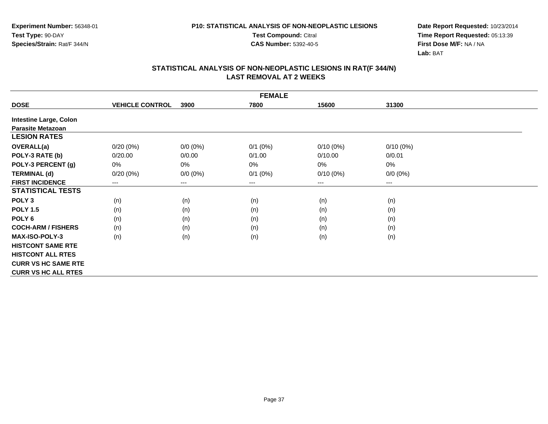**Test Compound:** Citral

**CAS Number:** 5392-40-5

**Date Report Requested:** 10/23/2014**Time Report Requested:** 05:13:39**First Dose M/F:** NA / NA**Lab:** BAT

|                               | <b>FEMALE</b>          |             |                        |             |             |  |  |  |  |
|-------------------------------|------------------------|-------------|------------------------|-------------|-------------|--|--|--|--|
| <b>DOSE</b>                   | <b>VEHICLE CONTROL</b> | 3900        | 7800                   | 15600       | 31300       |  |  |  |  |
| <b>Intestine Large, Colon</b> |                        |             |                        |             |             |  |  |  |  |
| <b>Parasite Metazoan</b>      |                        |             |                        |             |             |  |  |  |  |
| <b>LESION RATES</b>           |                        |             |                        |             |             |  |  |  |  |
| <b>OVERALL(a)</b>             | $0/20(0\%)$            | $0/0 (0\%)$ | $0/1$ (0%)             | $0/10(0\%)$ | $0/10(0\%)$ |  |  |  |  |
| POLY-3 RATE (b)               | 0/20.00                | 0/0.00      | 0/1.00                 | 0/10.00     | 0/0.01      |  |  |  |  |
| POLY-3 PERCENT (g)            | 0%                     | $0\%$       | $0\%$                  | 0%          | 0%          |  |  |  |  |
| <b>TERMINAL (d)</b>           | 0/20(0%)               | $0/0 (0\%)$ | $0/1$ $(0%)$           | $0/10(0\%)$ | $0/0 (0\%)$ |  |  |  |  |
| <b>FIRST INCIDENCE</b>        | ---                    | ---         | $\qquad \qquad \cdots$ | $---$       | $---$       |  |  |  |  |
| <b>STATISTICAL TESTS</b>      |                        |             |                        |             |             |  |  |  |  |
| POLY <sub>3</sub>             | (n)                    | (n)         | (n)                    | (n)         | (n)         |  |  |  |  |
| <b>POLY 1.5</b>               | (n)                    | (n)         | (n)                    | (n)         | (n)         |  |  |  |  |
| POLY 6                        | (n)                    | (n)         | (n)                    | (n)         | (n)         |  |  |  |  |
| <b>COCH-ARM / FISHERS</b>     | (n)                    | (n)         | (n)                    | (n)         | (n)         |  |  |  |  |
| <b>MAX-ISO-POLY-3</b>         | (n)                    | (n)         | (n)                    | (n)         | (n)         |  |  |  |  |
| <b>HISTCONT SAME RTE</b>      |                        |             |                        |             |             |  |  |  |  |
| <b>HISTCONT ALL RTES</b>      |                        |             |                        |             |             |  |  |  |  |
| <b>CURR VS HC SAME RTE</b>    |                        |             |                        |             |             |  |  |  |  |
| <b>CURR VS HC ALL RTES</b>    |                        |             |                        |             |             |  |  |  |  |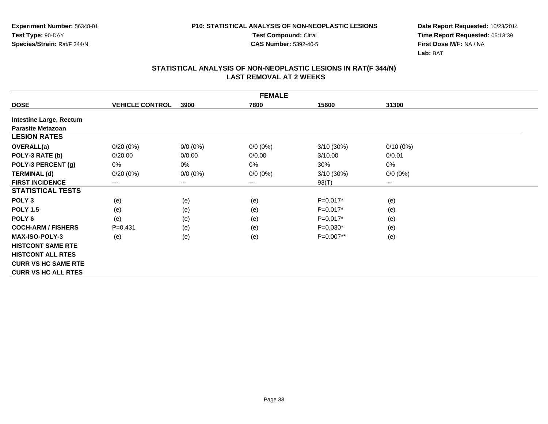**Test Compound:** Citral

**CAS Number:** 5392-40-5

**Date Report Requested:** 10/23/2014**Time Report Requested:** 05:13:39**First Dose M/F:** NA / NA**Lab:** BAT

|                                | <b>FEMALE</b>          |             |             |              |             |  |  |  |  |
|--------------------------------|------------------------|-------------|-------------|--------------|-------------|--|--|--|--|
| <b>DOSE</b>                    | <b>VEHICLE CONTROL</b> | 3900        | 7800        | 15600        | 31300       |  |  |  |  |
| <b>Intestine Large, Rectum</b> |                        |             |             |              |             |  |  |  |  |
| <b>Parasite Metazoan</b>       |                        |             |             |              |             |  |  |  |  |
| <b>LESION RATES</b>            |                        |             |             |              |             |  |  |  |  |
| <b>OVERALL(a)</b>              | $0/20(0\%)$            | $0/0 (0\%)$ | $0/0 (0\%)$ | $3/10(30\%)$ | $0/10(0\%)$ |  |  |  |  |
| POLY-3 RATE (b)                | 0/20.00                | 0/0.00      | 0/0.00      | 3/10.00      | 0/0.01      |  |  |  |  |
| POLY-3 PERCENT (g)             | 0%                     | 0%          | 0%          | 30%          | 0%          |  |  |  |  |
| <b>TERMINAL (d)</b>            | $0/20(0\%)$            | $0/0 (0\%)$ | $0/0 (0\%)$ | $3/10(30\%)$ | $0/0 (0\%)$ |  |  |  |  |
| <b>FIRST INCIDENCE</b>         | $---$                  | ---         | $---$       | 93(T)        | ---         |  |  |  |  |
| <b>STATISTICAL TESTS</b>       |                        |             |             |              |             |  |  |  |  |
| POLY <sub>3</sub>              | (e)                    | (e)         | (e)         | $P=0.017*$   | (e)         |  |  |  |  |
| <b>POLY 1.5</b>                | (e)                    | (e)         | (e)         | $P=0.017*$   | (e)         |  |  |  |  |
| POLY 6                         | (e)                    | (e)         | (e)         | $P=0.017*$   | (e)         |  |  |  |  |
| <b>COCH-ARM / FISHERS</b>      | $P = 0.431$            | (e)         | (e)         | $P=0.030*$   | (e)         |  |  |  |  |
| <b>MAX-ISO-POLY-3</b>          | (e)                    | (e)         | (e)         | P=0.007**    | (e)         |  |  |  |  |
| <b>HISTCONT SAME RTE</b>       |                        |             |             |              |             |  |  |  |  |
| <b>HISTCONT ALL RTES</b>       |                        |             |             |              |             |  |  |  |  |
| <b>CURR VS HC SAME RTE</b>     |                        |             |             |              |             |  |  |  |  |
| <b>CURR VS HC ALL RTES</b>     |                        |             |             |              |             |  |  |  |  |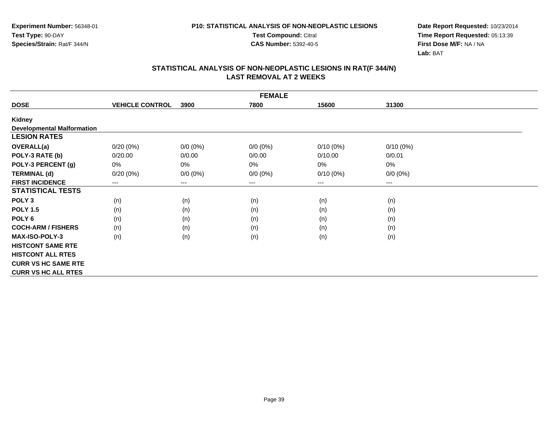**Test Compound:** Citral

**CAS Number:** 5392-40-5

**Date Report Requested:** 10/23/2014**Time Report Requested:** 05:13:39**First Dose M/F:** NA / NA**Lab:** BAT

|                                   |                        |                        | <b>FEMALE</b> |             |             |  |
|-----------------------------------|------------------------|------------------------|---------------|-------------|-------------|--|
| <b>DOSE</b>                       | <b>VEHICLE CONTROL</b> | 3900                   | 7800          | 15600       | 31300       |  |
| <b>Kidney</b>                     |                        |                        |               |             |             |  |
| <b>Developmental Malformation</b> |                        |                        |               |             |             |  |
| <b>LESION RATES</b>               |                        |                        |               |             |             |  |
| <b>OVERALL(a)</b>                 | $0/20(0\%)$            | $0/0 (0\%)$            | $0/0 (0\%)$   | $0/10(0\%)$ | $0/10(0\%)$ |  |
| POLY-3 RATE (b)                   | 0/20.00                | 0/0.00                 | 0/0.00        | 0/10.00     | 0/0.01      |  |
| POLY-3 PERCENT (g)                | 0%                     | $0\%$                  | 0%            | $0\%$       | 0%          |  |
| <b>TERMINAL (d)</b>               | $0/20(0\%)$            | $0/0 (0\%)$            | $0/0 (0\%)$   | $0/10(0\%)$ | $0/0 (0\%)$ |  |
| <b>FIRST INCIDENCE</b>            | $---$                  | $\qquad \qquad \cdots$ | ---           | ---         | ---         |  |
| <b>STATISTICAL TESTS</b>          |                        |                        |               |             |             |  |
| POLY <sub>3</sub>                 | (n)                    | (n)                    | (n)           | (n)         | (n)         |  |
| <b>POLY 1.5</b>                   | (n)                    | (n)                    | (n)           | (n)         | (n)         |  |
| POLY <sub>6</sub>                 | (n)                    | (n)                    | (n)           | (n)         | (n)         |  |
| <b>COCH-ARM / FISHERS</b>         | (n)                    | (n)                    | (n)           | (n)         | (n)         |  |
| <b>MAX-ISO-POLY-3</b>             | (n)                    | (n)                    | (n)           | (n)         | (n)         |  |
| <b>HISTCONT SAME RTE</b>          |                        |                        |               |             |             |  |
| <b>HISTCONT ALL RTES</b>          |                        |                        |               |             |             |  |
| <b>CURR VS HC SAME RTE</b>        |                        |                        |               |             |             |  |
| <b>CURR VS HC ALL RTES</b>        |                        |                        |               |             |             |  |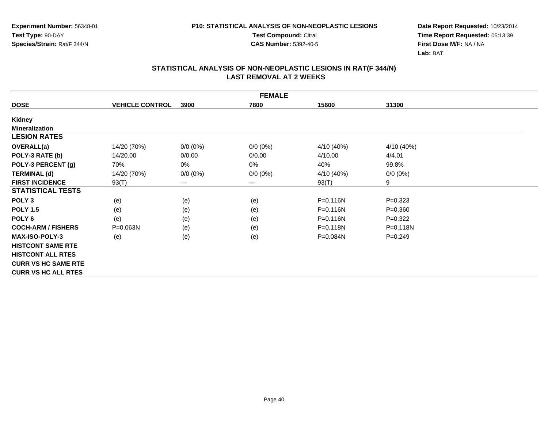**Test Compound:** Citral

**CAS Number:** 5392-40-5

**Date Report Requested:** 10/23/2014**Time Report Requested:** 05:13:39**First Dose M/F:** NA / NA**Lab:** BAT

|                            | <b>FEMALE</b>          |             |             |              |              |  |  |  |  |
|----------------------------|------------------------|-------------|-------------|--------------|--------------|--|--|--|--|
| <b>DOSE</b>                | <b>VEHICLE CONTROL</b> | 3900        | 7800        | 15600        | 31300        |  |  |  |  |
| Kidney                     |                        |             |             |              |              |  |  |  |  |
| <b>Mineralization</b>      |                        |             |             |              |              |  |  |  |  |
| <b>LESION RATES</b>        |                        |             |             |              |              |  |  |  |  |
| OVERALL(a)                 | 14/20 (70%)            | $0/0 (0\%)$ | $0/0 (0\%)$ | 4/10 (40%)   | 4/10 (40%)   |  |  |  |  |
| POLY-3 RATE (b)            | 14/20.00               | 0/0.00      | 0/0.00      | 4/10.00      | 4/4.01       |  |  |  |  |
| POLY-3 PERCENT (g)         | 70%                    | 0%          | 0%          | 40%          | 99.8%        |  |  |  |  |
| <b>TERMINAL (d)</b>        | 14/20 (70%)            | $0/0 (0\%)$ | $0/0 (0\%)$ | 4/10 (40%)   | $0/0 (0\%)$  |  |  |  |  |
| <b>FIRST INCIDENCE</b>     | 93(T)                  | ---         | $\cdots$    | 93(T)        | 9            |  |  |  |  |
| <b>STATISTICAL TESTS</b>   |                        |             |             |              |              |  |  |  |  |
| POLY <sub>3</sub>          | (e)                    | (e)         | (e)         | P=0.116N     | $P=0.323$    |  |  |  |  |
| <b>POLY 1.5</b>            | (e)                    | (e)         | (e)         | P=0.116N     | $P = 0.360$  |  |  |  |  |
| POLY <sub>6</sub>          | (e)                    | (e)         | (e)         | $P = 0.116N$ | $P=0.322$    |  |  |  |  |
| <b>COCH-ARM / FISHERS</b>  | $P = 0.063N$           | (e)         | (e)         | P=0.118N     | $P = 0.118N$ |  |  |  |  |
| <b>MAX-ISO-POLY-3</b>      | (e)                    | (e)         | (e)         | P=0.084N     | $P=0.249$    |  |  |  |  |
| <b>HISTCONT SAME RTE</b>   |                        |             |             |              |              |  |  |  |  |
| <b>HISTCONT ALL RTES</b>   |                        |             |             |              |              |  |  |  |  |
| <b>CURR VS HC SAME RTE</b> |                        |             |             |              |              |  |  |  |  |
| <b>CURR VS HC ALL RTES</b> |                        |             |             |              |              |  |  |  |  |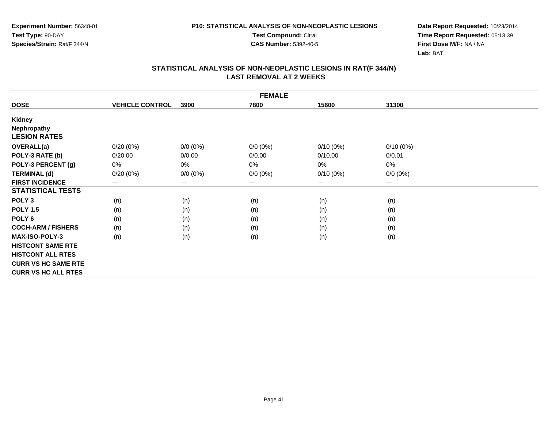**Test Compound:** Citral

**CAS Number:** 5392-40-5

**Date Report Requested:** 10/23/2014**Time Report Requested:** 05:13:39**First Dose M/F:** NA / NA**Lab:** BAT

|                            | <b>FEMALE</b>          |                        |                        |             |             |  |  |  |  |
|----------------------------|------------------------|------------------------|------------------------|-------------|-------------|--|--|--|--|
| <b>DOSE</b>                | <b>VEHICLE CONTROL</b> | 3900                   | 7800                   | 15600       | 31300       |  |  |  |  |
| Kidney                     |                        |                        |                        |             |             |  |  |  |  |
| <b>Nephropathy</b>         |                        |                        |                        |             |             |  |  |  |  |
| <b>LESION RATES</b>        |                        |                        |                        |             |             |  |  |  |  |
| OVERALL(a)                 | $0/20(0\%)$            | $0/0 (0\%)$            | $0/0 (0\%)$            | $0/10(0\%)$ | $0/10(0\%)$ |  |  |  |  |
| POLY-3 RATE (b)            | 0/20.00                | 0/0.00                 | 0/0.00                 | 0/10.00     | 0/0.01      |  |  |  |  |
| POLY-3 PERCENT (g)         | 0%                     | 0%                     | 0%                     | 0%          | 0%          |  |  |  |  |
| <b>TERMINAL (d)</b>        | 0/20(0%)               | $0/0 (0\%)$            | $0/0 (0\%)$            | $0/10(0\%)$ | $0/0 (0\%)$ |  |  |  |  |
| <b>FIRST INCIDENCE</b>     | $---$                  | $\qquad \qquad \cdots$ | $\qquad \qquad \cdots$ | $---$       | ---         |  |  |  |  |
| <b>STATISTICAL TESTS</b>   |                        |                        |                        |             |             |  |  |  |  |
| POLY <sub>3</sub>          | (n)                    | (n)                    | (n)                    | (n)         | (n)         |  |  |  |  |
| <b>POLY 1.5</b>            | (n)                    | (n)                    | (n)                    | (n)         | (n)         |  |  |  |  |
| POLY 6                     | (n)                    | (n)                    | (n)                    | (n)         | (n)         |  |  |  |  |
| <b>COCH-ARM / FISHERS</b>  | (n)                    | (n)                    | (n)                    | (n)         | (n)         |  |  |  |  |
| <b>MAX-ISO-POLY-3</b>      | (n)                    | (n)                    | (n)                    | (n)         | (n)         |  |  |  |  |
| <b>HISTCONT SAME RTE</b>   |                        |                        |                        |             |             |  |  |  |  |
| <b>HISTCONT ALL RTES</b>   |                        |                        |                        |             |             |  |  |  |  |
| <b>CURR VS HC SAME RTE</b> |                        |                        |                        |             |             |  |  |  |  |
| <b>CURR VS HC ALL RTES</b> |                        |                        |                        |             |             |  |  |  |  |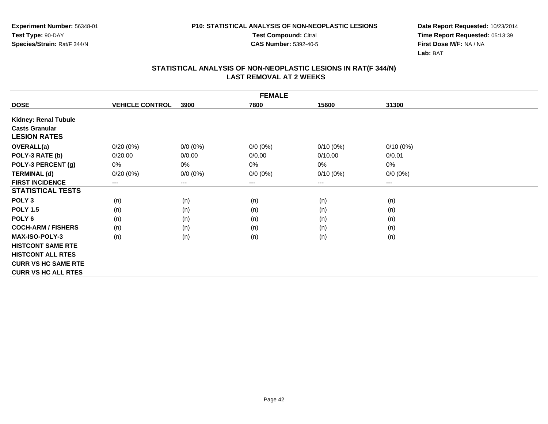**Test Compound:** Citral

**CAS Number:** 5392-40-5

**Date Report Requested:** 10/23/2014**Time Report Requested:** 05:13:39**First Dose M/F:** NA / NA**Lab:** BAT

|                             | <b>FEMALE</b>          |                        |             |             |             |  |  |  |  |  |
|-----------------------------|------------------------|------------------------|-------------|-------------|-------------|--|--|--|--|--|
| <b>DOSE</b>                 | <b>VEHICLE CONTROL</b> | 3900                   | 7800        | 15600       | 31300       |  |  |  |  |  |
| <b>Kidney: Renal Tubule</b> |                        |                        |             |             |             |  |  |  |  |  |
| <b>Casts Granular</b>       |                        |                        |             |             |             |  |  |  |  |  |
| <b>LESION RATES</b>         |                        |                        |             |             |             |  |  |  |  |  |
| <b>OVERALL(a)</b>           | $0/20(0\%)$            | $0/0(0\%)$             | $0/0 (0\%)$ | $0/10(0\%)$ | $0/10(0\%)$ |  |  |  |  |  |
| POLY-3 RATE (b)             | 0/20.00                | 0/0.00                 | 0/0.00      | 0/10.00     | 0/0.01      |  |  |  |  |  |
| POLY-3 PERCENT (g)          | 0%                     | $0\%$                  | 0%          | 0%          | 0%          |  |  |  |  |  |
| <b>TERMINAL (d)</b>         | $0/20(0\%)$            | $0/0 (0\%)$            | $0/0 (0\%)$ | $0/10(0\%)$ | $0/0 (0\%)$ |  |  |  |  |  |
| <b>FIRST INCIDENCE</b>      | ---                    | $\qquad \qquad \cdots$ | ---         | $---$       | $---$       |  |  |  |  |  |
| <b>STATISTICAL TESTS</b>    |                        |                        |             |             |             |  |  |  |  |  |
| POLY <sub>3</sub>           | (n)                    | (n)                    | (n)         | (n)         | (n)         |  |  |  |  |  |
| <b>POLY 1.5</b>             | (n)                    | (n)                    | (n)         | (n)         | (n)         |  |  |  |  |  |
| POLY <sub>6</sub>           | (n)                    | (n)                    | (n)         | (n)         | (n)         |  |  |  |  |  |
| <b>COCH-ARM / FISHERS</b>   | (n)                    | (n)                    | (n)         | (n)         | (n)         |  |  |  |  |  |
| <b>MAX-ISO-POLY-3</b>       | (n)                    | (n)                    | (n)         | (n)         | (n)         |  |  |  |  |  |
| <b>HISTCONT SAME RTE</b>    |                        |                        |             |             |             |  |  |  |  |  |
| <b>HISTCONT ALL RTES</b>    |                        |                        |             |             |             |  |  |  |  |  |
| <b>CURR VS HC SAME RTE</b>  |                        |                        |             |             |             |  |  |  |  |  |
| <b>CURR VS HC ALL RTES</b>  |                        |                        |             |             |             |  |  |  |  |  |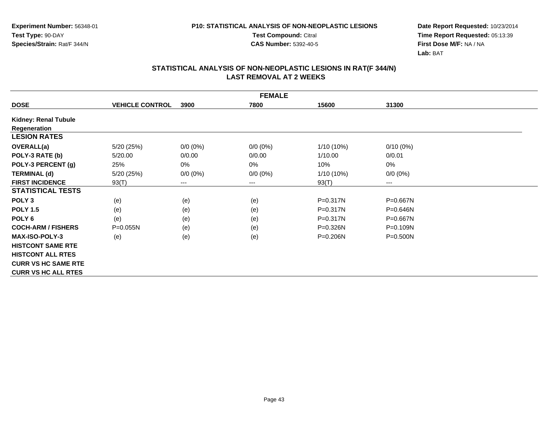**Test Compound:** Citral

**CAS Number:** 5392-40-5

**Date Report Requested:** 10/23/2014**Time Report Requested:** 05:13:39**First Dose M/F:** NA / NA**Lab:** BAT

| <b>FEMALE</b>               |                        |             |                        |              |              |  |  |  |
|-----------------------------|------------------------|-------------|------------------------|--------------|--------------|--|--|--|
| <b>DOSE</b>                 | <b>VEHICLE CONTROL</b> | 3900        | 7800                   | 15600        | 31300        |  |  |  |
| <b>Kidney: Renal Tubule</b> |                        |             |                        |              |              |  |  |  |
| Regeneration                |                        |             |                        |              |              |  |  |  |
| <b>LESION RATES</b>         |                        |             |                        |              |              |  |  |  |
| <b>OVERALL(a)</b>           | 5/20 (25%)             | $0/0 (0\%)$ | $0/0 (0\%)$            | 1/10 (10%)   | $0/10(0\%)$  |  |  |  |
| POLY-3 RATE (b)             | 5/20.00                | 0/0.00      | 0/0.00                 | 1/10.00      | 0/0.01       |  |  |  |
| POLY-3 PERCENT (g)          | 25%                    | 0%          | 0%                     | 10%          | 0%           |  |  |  |
| <b>TERMINAL (d)</b>         | 5/20 (25%)             | $0/0 (0\%)$ | $0/0 (0\%)$            | 1/10 (10%)   | $0/0 (0\%)$  |  |  |  |
| <b>FIRST INCIDENCE</b>      | 93(T)                  | ---         | $\qquad \qquad \cdots$ | 93(T)        | ---          |  |  |  |
| <b>STATISTICAL TESTS</b>    |                        |             |                        |              |              |  |  |  |
| POLY <sub>3</sub>           | (e)                    | (e)         | (e)                    | $P = 0.317N$ | P=0.667N     |  |  |  |
| <b>POLY 1.5</b>             | (e)                    | (e)         | (e)                    | $P = 0.317N$ | P=0.646N     |  |  |  |
| POLY <sub>6</sub>           | (e)                    | (e)         | (e)                    | $P = 0.317N$ | P=0.667N     |  |  |  |
| <b>COCH-ARM / FISHERS</b>   | $P = 0.055N$           | (e)         | (e)                    | $P = 0.326N$ | P=0.109N     |  |  |  |
| <b>MAX-ISO-POLY-3</b>       | (e)                    | (e)         | (e)                    | $P = 0.206N$ | $P = 0.500N$ |  |  |  |
| <b>HISTCONT SAME RTE</b>    |                        |             |                        |              |              |  |  |  |
| <b>HISTCONT ALL RTES</b>    |                        |             |                        |              |              |  |  |  |
| <b>CURR VS HC SAME RTE</b>  |                        |             |                        |              |              |  |  |  |
| <b>CURR VS HC ALL RTES</b>  |                        |             |                        |              |              |  |  |  |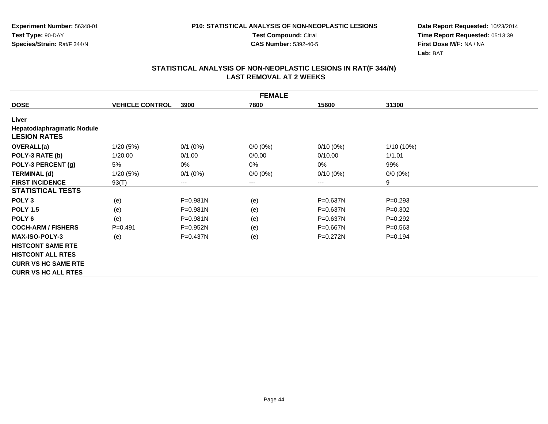**Test Compound:** Citral

**CAS Number:** 5392-40-5

**Date Report Requested:** 10/23/2014**Time Report Requested:** 05:13:39**First Dose M/F:** NA / NA**Lab:** BAT

|                            | <b>FEMALE</b>          |              |             |              |              |  |  |  |  |
|----------------------------|------------------------|--------------|-------------|--------------|--------------|--|--|--|--|
| <b>DOSE</b>                | <b>VEHICLE CONTROL</b> | 3900         | 7800        | 15600        | 31300        |  |  |  |  |
| Liver                      |                        |              |             |              |              |  |  |  |  |
| Hepatodiaphragmatic Nodule |                        |              |             |              |              |  |  |  |  |
| <b>LESION RATES</b>        |                        |              |             |              |              |  |  |  |  |
| <b>OVERALL(a)</b>          | 1/20(5%)               | $0/1$ $(0%)$ | $0/0 (0\%)$ | $0/10(0\%)$  | $1/10(10\%)$ |  |  |  |  |
| POLY-3 RATE (b)            | 1/20.00                | 0/1.00       | 0/0.00      | 0/10.00      | 1/1.01       |  |  |  |  |
| POLY-3 PERCENT (g)         | 5%                     | 0%           | $0\%$       | 0%           | 99%          |  |  |  |  |
| <b>TERMINAL (d)</b>        | 1/20(5%)               | $0/1$ (0%)   | $0/0 (0\%)$ | $0/10(0\%)$  | $0/0 (0\%)$  |  |  |  |  |
| <b>FIRST INCIDENCE</b>     | 93(T)                  | $\cdots$     | $\cdots$    | ---          | 9            |  |  |  |  |
| <b>STATISTICAL TESTS</b>   |                        |              |             |              |              |  |  |  |  |
| POLY <sub>3</sub>          | (e)                    | $P = 0.981N$ | (e)         | P=0.637N     | $P=0.293$    |  |  |  |  |
| <b>POLY 1.5</b>            | (e)                    | P=0.981N     | (e)         | P=0.637N     | $P=0.302$    |  |  |  |  |
| POLY <sub>6</sub>          | (e)                    | $P = 0.981N$ | (e)         | P=0.637N     | $P=0.292$    |  |  |  |  |
| <b>COCH-ARM / FISHERS</b>  | $P = 0.491$            | $P = 0.952N$ | (e)         | $P = 0.667N$ | $P = 0.563$  |  |  |  |  |
| <b>MAX-ISO-POLY-3</b>      | (e)                    | $P = 0.437N$ | (e)         | $P=0.272N$   | $P=0.194$    |  |  |  |  |
| <b>HISTCONT SAME RTE</b>   |                        |              |             |              |              |  |  |  |  |
| <b>HISTCONT ALL RTES</b>   |                        |              |             |              |              |  |  |  |  |
| <b>CURR VS HC SAME RTE</b> |                        |              |             |              |              |  |  |  |  |
| <b>CURR VS HC ALL RTES</b> |                        |              |             |              |              |  |  |  |  |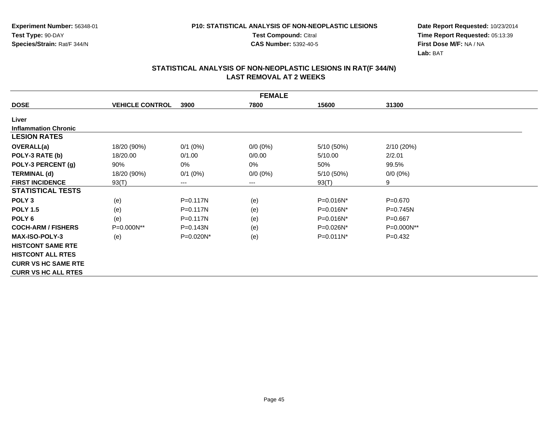**Test Compound:** Citral

**CAS Number:** 5392-40-5

**Date Report Requested:** 10/23/2014**Time Report Requested:** 05:13:39**First Dose M/F:** NA / NA**Lab:** BAT

|                             | <b>FEMALE</b>          |                        |             |                |              |  |  |  |  |
|-----------------------------|------------------------|------------------------|-------------|----------------|--------------|--|--|--|--|
| <b>DOSE</b>                 | <b>VEHICLE CONTROL</b> | 3900                   | 7800        | 15600          | 31300        |  |  |  |  |
| Liver                       |                        |                        |             |                |              |  |  |  |  |
| <b>Inflammation Chronic</b> |                        |                        |             |                |              |  |  |  |  |
| <b>LESION RATES</b>         |                        |                        |             |                |              |  |  |  |  |
| OVERALL(a)                  | 18/20 (90%)            | $0/1$ (0%)             | $0/0(0\%)$  | 5/10 (50%)     | 2/10 (20%)   |  |  |  |  |
| POLY-3 RATE (b)             | 18/20.00               | 0/1.00                 | 0/0.00      | 5/10.00        | 2/2.01       |  |  |  |  |
| POLY-3 PERCENT (g)          | 90%                    | 0%                     | 0%          | 50%            | 99.5%        |  |  |  |  |
| <b>TERMINAL (d)</b>         | 18/20 (90%)            | $0/1$ (0%)             | $0/0 (0\%)$ | 5/10 (50%)     | $0/0 (0\%)$  |  |  |  |  |
| <b>FIRST INCIDENCE</b>      | 93(T)                  | $\qquad \qquad \cdots$ | $--$        | 93(T)          | 9            |  |  |  |  |
| <b>STATISTICAL TESTS</b>    |                        |                        |             |                |              |  |  |  |  |
| POLY <sub>3</sub>           | (e)                    | P=0.117N               | (e)         | P=0.016N*      | $P = 0.670$  |  |  |  |  |
| <b>POLY 1.5</b>             | (e)                    | P=0.117N               | (e)         | $P=0.016N^*$   | $P = 0.745N$ |  |  |  |  |
| POLY <sub>6</sub>           | (e)                    | $P = 0.117N$           | (e)         | $P = 0.016N^*$ | $P=0.667$    |  |  |  |  |
| <b>COCH-ARM / FISHERS</b>   | P=0.000N**             | $P = 0.143N$           | (e)         | P=0.026N*      | P=0.000N**   |  |  |  |  |
| <b>MAX-ISO-POLY-3</b>       | (e)                    | $P=0.020N^*$           | (e)         | $P=0.011N^*$   | $P=0.432$    |  |  |  |  |
| <b>HISTCONT SAME RTE</b>    |                        |                        |             |                |              |  |  |  |  |
| <b>HISTCONT ALL RTES</b>    |                        |                        |             |                |              |  |  |  |  |
| <b>CURR VS HC SAME RTE</b>  |                        |                        |             |                |              |  |  |  |  |
| <b>CURR VS HC ALL RTES</b>  |                        |                        |             |                |              |  |  |  |  |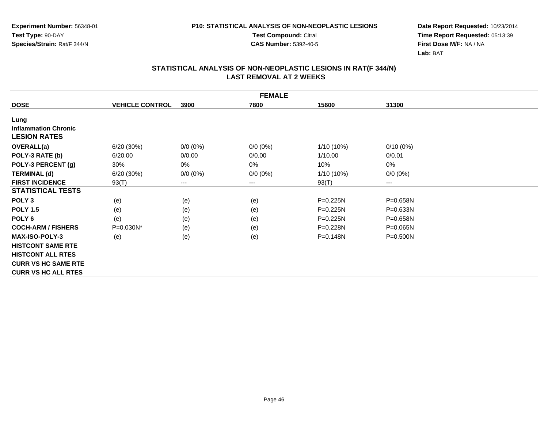**Test Compound:** Citral

**CAS Number:** 5392-40-5

**Date Report Requested:** 10/23/2014**Time Report Requested:** 05:13:39**First Dose M/F:** NA / NA**Lab:** BAT

|                             | <b>FEMALE</b>          |             |             |              |              |  |  |  |  |
|-----------------------------|------------------------|-------------|-------------|--------------|--------------|--|--|--|--|
| <b>DOSE</b>                 | <b>VEHICLE CONTROL</b> | 3900        | 7800        | 15600        | 31300        |  |  |  |  |
| Lung                        |                        |             |             |              |              |  |  |  |  |
| <b>Inflammation Chronic</b> |                        |             |             |              |              |  |  |  |  |
| <b>LESION RATES</b>         |                        |             |             |              |              |  |  |  |  |
| <b>OVERALL(a)</b>           | 6/20 (30%)             | $0/0 (0\%)$ | $0/0(0\%)$  | $1/10(10\%)$ | $0/10(0\%)$  |  |  |  |  |
| POLY-3 RATE (b)             | 6/20.00                | 0/0.00      | 0/0.00      | 1/10.00      | 0/0.01       |  |  |  |  |
| POLY-3 PERCENT (g)          | 30%                    | 0%          | 0%          | 10%          | 0%           |  |  |  |  |
| <b>TERMINAL (d)</b>         | 6/20(30%)              | $0/0 (0\%)$ | $0/0 (0\%)$ | 1/10 (10%)   | $0/0 (0\%)$  |  |  |  |  |
| <b>FIRST INCIDENCE</b>      | 93(T)                  | $---$       | $---$       | 93(T)        | ---          |  |  |  |  |
| <b>STATISTICAL TESTS</b>    |                        |             |             |              |              |  |  |  |  |
| POLY <sub>3</sub>           | (e)                    | (e)         | (e)         | P=0.225N     | P=0.658N     |  |  |  |  |
| <b>POLY 1.5</b>             | (e)                    | (e)         | (e)         | P=0.225N     | P=0.633N     |  |  |  |  |
| POLY <sub>6</sub>           | (e)                    | (e)         | (e)         | P=0.225N     | P=0.658N     |  |  |  |  |
| <b>COCH-ARM / FISHERS</b>   | P=0.030N*              | (e)         | (e)         | P=0.228N     | $P = 0.065N$ |  |  |  |  |
| <b>MAX-ISO-POLY-3</b>       | (e)                    | (e)         | (e)         | P=0.148N     | P=0.500N     |  |  |  |  |
| <b>HISTCONT SAME RTE</b>    |                        |             |             |              |              |  |  |  |  |
| <b>HISTCONT ALL RTES</b>    |                        |             |             |              |              |  |  |  |  |
| <b>CURR VS HC SAME RTE</b>  |                        |             |             |              |              |  |  |  |  |
| <b>CURR VS HC ALL RTES</b>  |                        |             |             |              |              |  |  |  |  |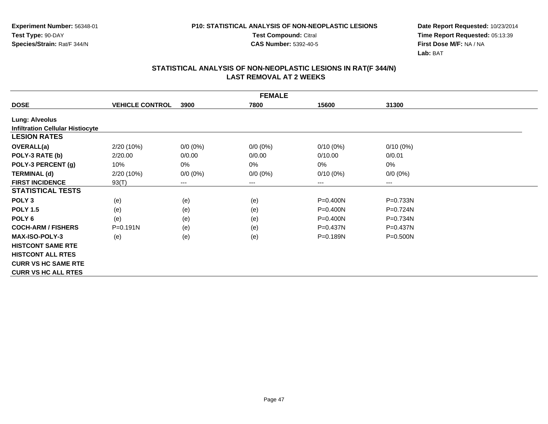**Test Compound:** Citral

**CAS Number:** 5392-40-5

**Date Report Requested:** 10/23/2014**Time Report Requested:** 05:13:39**First Dose M/F:** NA / NA**Lab:** BAT

|                                         | <b>FEMALE</b>          |             |             |              |              |  |  |  |  |
|-----------------------------------------|------------------------|-------------|-------------|--------------|--------------|--|--|--|--|
| <b>DOSE</b>                             | <b>VEHICLE CONTROL</b> | 3900        | 7800        | 15600        | 31300        |  |  |  |  |
| <b>Lung: Alveolus</b>                   |                        |             |             |              |              |  |  |  |  |
| <b>Infiltration Cellular Histiocyte</b> |                        |             |             |              |              |  |  |  |  |
| <b>LESION RATES</b>                     |                        |             |             |              |              |  |  |  |  |
| OVERALL(a)                              | 2/20 (10%)             | $0/0 (0\%)$ | $0/0 (0\%)$ | $0/10(0\%)$  | $0/10(0\%)$  |  |  |  |  |
| POLY-3 RATE (b)                         | 2/20.00                | 0/0.00      | 0/0.00      | 0/10.00      | 0/0.01       |  |  |  |  |
| POLY-3 PERCENT (g)                      | 10%                    | 0%          | 0%          | $0\%$        | 0%           |  |  |  |  |
| <b>TERMINAL (d)</b>                     | 2/20 (10%)             | $0/0 (0\%)$ | $0/0 (0\%)$ | $0/10(0\%)$  | $0/0 (0\%)$  |  |  |  |  |
| <b>FIRST INCIDENCE</b>                  | 93(T)                  | $---$       | $---$       | $---$        | $---$        |  |  |  |  |
| <b>STATISTICAL TESTS</b>                |                        |             |             |              |              |  |  |  |  |
| POLY <sub>3</sub>                       | (e)                    | (e)         | (e)         | P=0.400N     | $P=0.733N$   |  |  |  |  |
| <b>POLY 1.5</b>                         | (e)                    | (e)         | (e)         | $P = 0.400N$ | $P=0.724N$   |  |  |  |  |
| POLY <sub>6</sub>                       | (e)                    | (e)         | (e)         | P=0.400N     | P=0.734N     |  |  |  |  |
| <b>COCH-ARM / FISHERS</b>               | $P = 0.191N$           | (e)         | (e)         | $P = 0.437N$ | $P = 0.437N$ |  |  |  |  |
| <b>MAX-ISO-POLY-3</b>                   | (e)                    | (e)         | (e)         | $P = 0.189N$ | $P = 0.500N$ |  |  |  |  |
| <b>HISTCONT SAME RTE</b>                |                        |             |             |              |              |  |  |  |  |
| <b>HISTCONT ALL RTES</b>                |                        |             |             |              |              |  |  |  |  |
| <b>CURR VS HC SAME RTE</b>              |                        |             |             |              |              |  |  |  |  |
| <b>CURR VS HC ALL RTES</b>              |                        |             |             |              |              |  |  |  |  |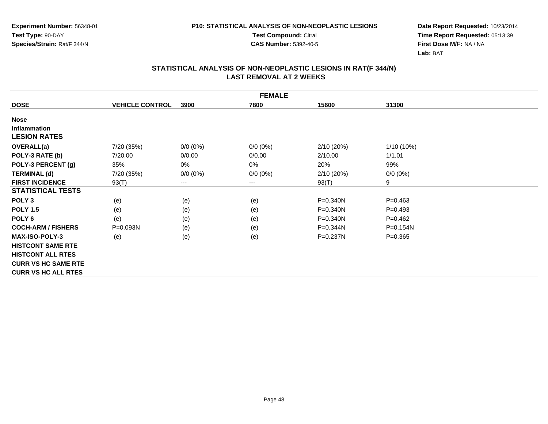**Test Compound:** Citral

**CAS Number:** 5392-40-5

**Date Report Requested:** 10/23/2014**Time Report Requested:** 05:13:39**First Dose M/F:** NA / NA**Lab:** BAT

|                            | <b>FEMALE</b>          |                            |             |              |              |  |  |  |  |
|----------------------------|------------------------|----------------------------|-------------|--------------|--------------|--|--|--|--|
| <b>DOSE</b>                | <b>VEHICLE CONTROL</b> | 3900                       | 7800        | 15600        | 31300        |  |  |  |  |
| <b>Nose</b>                |                        |                            |             |              |              |  |  |  |  |
| <b>Inflammation</b>        |                        |                            |             |              |              |  |  |  |  |
| <b>LESION RATES</b>        |                        |                            |             |              |              |  |  |  |  |
| OVERALL(a)                 | 7/20 (35%)             | $0/0 (0\%)$                | $0/0(0\%)$  | 2/10 (20%)   | 1/10 (10%)   |  |  |  |  |
| POLY-3 RATE (b)            | 7/20.00                | 0/0.00                     | 0/0.00      | 2/10.00      | 1/1.01       |  |  |  |  |
| POLY-3 PERCENT (g)         | 35%                    | 0%                         | 0%          | 20%          | 99%          |  |  |  |  |
| <b>TERMINAL (d)</b>        | 7/20 (35%)             | $0/0 (0\%)$                | $0/0 (0\%)$ | 2/10 (20%)   | $0/0 (0\%)$  |  |  |  |  |
| <b>FIRST INCIDENCE</b>     | 93(T)                  | $\qquad \qquad - \qquad -$ | $---$       | 93(T)        | 9            |  |  |  |  |
| <b>STATISTICAL TESTS</b>   |                        |                            |             |              |              |  |  |  |  |
| POLY <sub>3</sub>          | (e)                    | (e)                        | (e)         | P=0.340N     | $P = 0.463$  |  |  |  |  |
| <b>POLY 1.5</b>            | (e)                    | (e)                        | (e)         | P=0.340N     | $P=0.493$    |  |  |  |  |
| POLY <sub>6</sub>          | (e)                    | (e)                        | (e)         | $P = 0.340N$ | $P=0.462$    |  |  |  |  |
| <b>COCH-ARM / FISHERS</b>  | P=0.093N               | (e)                        | (e)         | $P = 0.344N$ | $P = 0.154N$ |  |  |  |  |
| <b>MAX-ISO-POLY-3</b>      | (e)                    | (e)                        | (e)         | P=0.237N     | $P = 0.365$  |  |  |  |  |
| <b>HISTCONT SAME RTE</b>   |                        |                            |             |              |              |  |  |  |  |
| <b>HISTCONT ALL RTES</b>   |                        |                            |             |              |              |  |  |  |  |
| <b>CURR VS HC SAME RTE</b> |                        |                            |             |              |              |  |  |  |  |
| <b>CURR VS HC ALL RTES</b> |                        |                            |             |              |              |  |  |  |  |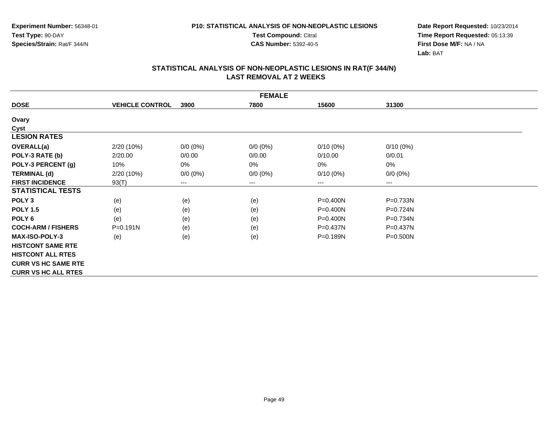**Test Compound:** Citral

**CAS Number:** 5392-40-5

**Date Report Requested:** 10/23/2014**Time Report Requested:** 05:13:39**First Dose M/F:** NA / NA**Lab:** BAT

|                            | <b>FEMALE</b>          |             |             |              |              |  |  |
|----------------------------|------------------------|-------------|-------------|--------------|--------------|--|--|
| <b>DOSE</b>                | <b>VEHICLE CONTROL</b> | 3900        | 7800        | 15600        | 31300        |  |  |
| Ovary                      |                        |             |             |              |              |  |  |
| Cyst                       |                        |             |             |              |              |  |  |
| <b>LESION RATES</b>        |                        |             |             |              |              |  |  |
| <b>OVERALL(a)</b>          | 2/20 (10%)             | $0/0 (0\%)$ | $0/0 (0\%)$ | $0/10(0\%)$  | $0/10(0\%)$  |  |  |
| POLY-3 RATE (b)            | 2/20.00                | 0/0.00      | 0/0.00      | 0/10.00      | 0/0.01       |  |  |
| POLY-3 PERCENT (g)         | 10%                    | 0%          | 0%          | 0%           | 0%           |  |  |
| <b>TERMINAL (d)</b>        | $2/20(10\%)$           | $0/0 (0\%)$ | $0/0 (0\%)$ | $0/10(0\%)$  | $0/0 (0\%)$  |  |  |
| <b>FIRST INCIDENCE</b>     | 93(T)                  | ---         | $---$       | ---          | ---          |  |  |
| <b>STATISTICAL TESTS</b>   |                        |             |             |              |              |  |  |
| POLY <sub>3</sub>          | (e)                    | (e)         | (e)         | P=0.400N     | P=0.733N     |  |  |
| <b>POLY 1.5</b>            | (e)                    | (e)         | (e)         | P=0.400N     | P=0.724N     |  |  |
| POLY 6                     | (e)                    | (e)         | (e)         | P=0.400N     | P=0.734N     |  |  |
| <b>COCH-ARM / FISHERS</b>  | $P = 0.191N$           | (e)         | (e)         | $P = 0.437N$ | $P = 0.437N$ |  |  |
| <b>MAX-ISO-POLY-3</b>      | (e)                    | (e)         | (e)         | P=0.189N     | P=0.500N     |  |  |
| <b>HISTCONT SAME RTE</b>   |                        |             |             |              |              |  |  |
| <b>HISTCONT ALL RTES</b>   |                        |             |             |              |              |  |  |
| <b>CURR VS HC SAME RTE</b> |                        |             |             |              |              |  |  |
| <b>CURR VS HC ALL RTES</b> |                        |             |             |              |              |  |  |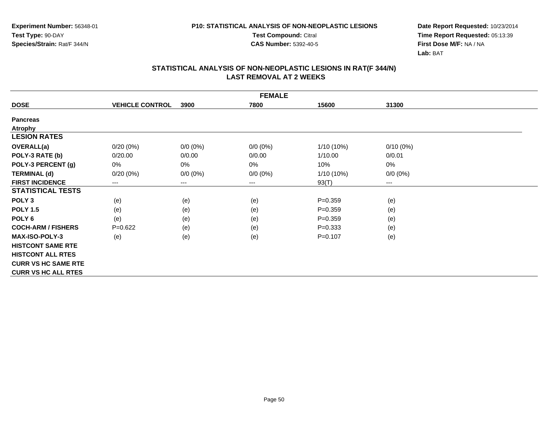**Test Compound:** Citral

**CAS Number:** 5392-40-5

**Date Report Requested:** 10/23/2014**Time Report Requested:** 05:13:39**First Dose M/F:** NA / NA**Lab:** BAT

|                            |                        |             | <b>FEMALE</b> |              |             |  |
|----------------------------|------------------------|-------------|---------------|--------------|-------------|--|
| <b>DOSE</b>                | <b>VEHICLE CONTROL</b> | 3900        | 7800          | 15600        | 31300       |  |
| <b>Pancreas</b>            |                        |             |               |              |             |  |
| <b>Atrophy</b>             |                        |             |               |              |             |  |
| <b>LESION RATES</b>        |                        |             |               |              |             |  |
| <b>OVERALL(a)</b>          | $0/20(0\%)$            | $0/0 (0\%)$ | $0/0$ $(0%)$  | $1/10(10\%)$ | $0/10(0\%)$ |  |
| POLY-3 RATE (b)            | 0/20.00                | 0/0.00      | 0/0.00        | 1/10.00      | 0/0.01      |  |
| POLY-3 PERCENT (g)         | 0%                     | 0%          | 0%            | 10%          | 0%          |  |
| <b>TERMINAL (d)</b>        | $0/20(0\%)$            | $0/0 (0\%)$ | $0/0 (0\%)$   | $1/10(10\%)$ | $0/0 (0\%)$ |  |
| <b>FIRST INCIDENCE</b>     | ---                    | ---         | ---           | 93(T)        | $---$       |  |
| <b>STATISTICAL TESTS</b>   |                        |             |               |              |             |  |
| POLY <sub>3</sub>          | (e)                    | (e)         | (e)           | $P = 0.359$  | (e)         |  |
| <b>POLY 1.5</b>            | (e)                    | (e)         | (e)           | $P = 0.359$  | (e)         |  |
| POLY 6                     | (e)                    | (e)         | (e)           | $P = 0.359$  | (e)         |  |
| <b>COCH-ARM / FISHERS</b>  | $P=0.622$              | (e)         | (e)           | $P = 0.333$  | (e)         |  |
| <b>MAX-ISO-POLY-3</b>      | (e)                    | (e)         | (e)           | $P = 0.107$  | (e)         |  |
| <b>HISTCONT SAME RTE</b>   |                        |             |               |              |             |  |
| <b>HISTCONT ALL RTES</b>   |                        |             |               |              |             |  |
| <b>CURR VS HC SAME RTE</b> |                        |             |               |              |             |  |
| <b>CURR VS HC ALL RTES</b> |                        |             |               |              |             |  |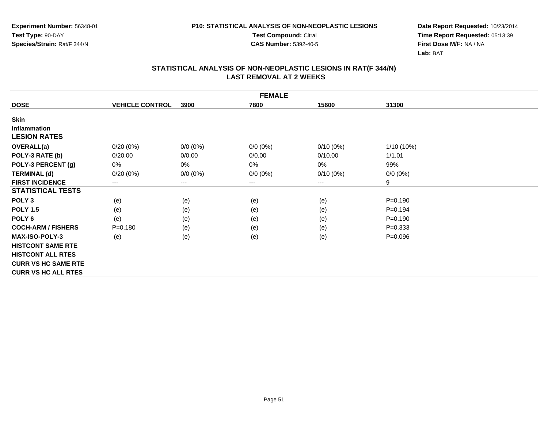**Test Compound:** Citral

**CAS Number:** 5392-40-5

**Date Report Requested:** 10/23/2014**Time Report Requested:** 05:13:39**First Dose M/F:** NA / NA**Lab:** BAT

|                            |                        |                        | <b>FEMALE</b> |             |             |  |
|----------------------------|------------------------|------------------------|---------------|-------------|-------------|--|
| <b>DOSE</b>                | <b>VEHICLE CONTROL</b> | 3900                   | 7800          | 15600       | 31300       |  |
| <b>Skin</b>                |                        |                        |               |             |             |  |
| <b>Inflammation</b>        |                        |                        |               |             |             |  |
| <b>LESION RATES</b>        |                        |                        |               |             |             |  |
| OVERALL(a)                 | $0/20(0\%)$            | $0/0(0\%)$             | $0/0 (0\%)$   | $0/10(0\%)$ | 1/10 (10%)  |  |
| POLY-3 RATE (b)            | 0/20.00                | 0/0.00                 | 0/0.00        | 0/10.00     | 1/1.01      |  |
| POLY-3 PERCENT (g)         | 0%                     | 0%                     | 0%            | 0%          | 99%         |  |
| <b>TERMINAL (d)</b>        | 0/20(0%)               | $0/0 (0\%)$            | $0/0 (0\%)$   | $0/10(0\%)$ | $0/0 (0\%)$ |  |
| <b>FIRST INCIDENCE</b>     | ---                    | $\qquad \qquad \cdots$ | $\cdots$      | $--$        | 9           |  |
| <b>STATISTICAL TESTS</b>   |                        |                        |               |             |             |  |
| POLY <sub>3</sub>          | (e)                    | (e)                    | (e)           | (e)         | $P = 0.190$ |  |
| <b>POLY 1.5</b>            | (e)                    | (e)                    | (e)           | (e)         | $P = 0.194$ |  |
| POLY <sub>6</sub>          | (e)                    | (e)                    | (e)           | (e)         | $P = 0.190$ |  |
| <b>COCH-ARM / FISHERS</b>  | $P = 0.180$            | (e)                    | (e)           | (e)         | $P = 0.333$ |  |
| <b>MAX-ISO-POLY-3</b>      | (e)                    | (e)                    | (e)           | (e)         | $P = 0.096$ |  |
| <b>HISTCONT SAME RTE</b>   |                        |                        |               |             |             |  |
| <b>HISTCONT ALL RTES</b>   |                        |                        |               |             |             |  |
| <b>CURR VS HC SAME RTE</b> |                        |                        |               |             |             |  |
| <b>CURR VS HC ALL RTES</b> |                        |                        |               |             |             |  |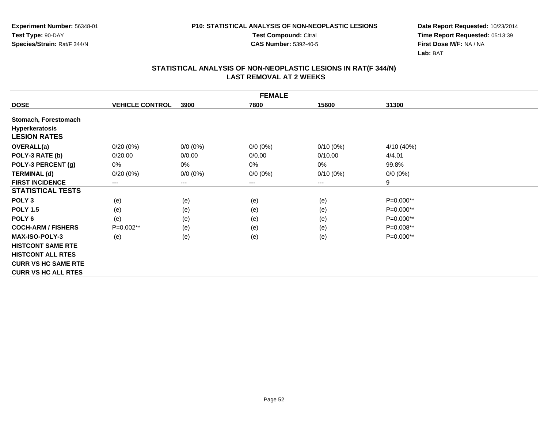**Test Compound:** Citral

**CAS Number:** 5392-40-5

**Date Report Requested:** 10/23/2014**Time Report Requested:** 05:13:39**First Dose M/F:** NA / NA**Lab:** BAT

|                            | <b>FEMALE</b>          |                            |             |             |             |  |  |
|----------------------------|------------------------|----------------------------|-------------|-------------|-------------|--|--|
| <b>DOSE</b>                | <b>VEHICLE CONTROL</b> | 3900                       | 7800        | 15600       | 31300       |  |  |
| Stomach, Forestomach       |                        |                            |             |             |             |  |  |
| <b>Hyperkeratosis</b>      |                        |                            |             |             |             |  |  |
| <b>LESION RATES</b>        |                        |                            |             |             |             |  |  |
| <b>OVERALL(a)</b>          | $0/20(0\%)$            | $0/0 (0\%)$                | $0/0 (0\%)$ | $0/10(0\%)$ | 4/10 (40%)  |  |  |
| POLY-3 RATE (b)            | 0/20.00                | 0/0.00                     | 0/0.00      | 0/10.00     | 4/4.01      |  |  |
| POLY-3 PERCENT (g)         | 0%                     | 0%                         | 0%          | 0%          | 99.8%       |  |  |
| <b>TERMINAL (d)</b>        | 0/20(0%)               | $0/0 (0\%)$                | $0/0 (0\%)$ | $0/10(0\%)$ | $0/0 (0\%)$ |  |  |
| <b>FIRST INCIDENCE</b>     | $---$                  | $\qquad \qquad - \qquad -$ | $---$       | ---         | 9           |  |  |
| <b>STATISTICAL TESTS</b>   |                        |                            |             |             |             |  |  |
| POLY <sub>3</sub>          | (e)                    | (e)                        | (e)         | (e)         | P=0.000**   |  |  |
| <b>POLY 1.5</b>            | (e)                    | (e)                        | (e)         | (e)         | P=0.000**   |  |  |
| POLY <sub>6</sub>          | (e)                    | (e)                        | (e)         | (e)         | P=0.000**   |  |  |
| <b>COCH-ARM / FISHERS</b>  | $P=0.002**$            | (e)                        | (e)         | (e)         | P=0.008**   |  |  |
| <b>MAX-ISO-POLY-3</b>      | (e)                    | (e)                        | (e)         | (e)         | $P=0.000**$ |  |  |
| <b>HISTCONT SAME RTE</b>   |                        |                            |             |             |             |  |  |
| <b>HISTCONT ALL RTES</b>   |                        |                            |             |             |             |  |  |
| <b>CURR VS HC SAME RTE</b> |                        |                            |             |             |             |  |  |
| <b>CURR VS HC ALL RTES</b> |                        |                            |             |             |             |  |  |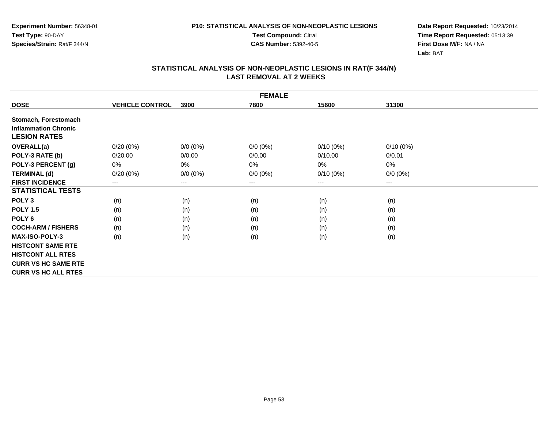**Test Compound:** Citral

**CAS Number:** 5392-40-5

**Date Report Requested:** 10/23/2014**Time Report Requested:** 05:13:39**First Dose M/F:** NA / NA**Lab:** BAT

|                             |                        |             | <b>FEMALE</b>              |             |             |  |
|-----------------------------|------------------------|-------------|----------------------------|-------------|-------------|--|
| <b>DOSE</b>                 | <b>VEHICLE CONTROL</b> | 3900        | 7800                       | 15600       | 31300       |  |
| Stomach, Forestomach        |                        |             |                            |             |             |  |
| <b>Inflammation Chronic</b> |                        |             |                            |             |             |  |
| <b>LESION RATES</b>         |                        |             |                            |             |             |  |
| OVERALL(a)                  | $0/20(0\%)$            | $0/0 (0\%)$ | $0/0 (0\%)$                | $0/10(0\%)$ | $0/10(0\%)$ |  |
| POLY-3 RATE (b)             | 0/20.00                | 0/0.00      | 0/0.00                     | 0/10.00     | 0/0.01      |  |
| POLY-3 PERCENT (g)          | 0%                     | 0%          | 0%                         | 0%          | 0%          |  |
| <b>TERMINAL (d)</b>         | $0/20(0\%)$            | $0/0 (0\%)$ | $0/0 (0\%)$                | $0/10(0\%)$ | $0/0 (0\%)$ |  |
| <b>FIRST INCIDENCE</b>      | $\qquad \qquad \cdots$ | $---$       | $\qquad \qquad - \qquad -$ | $---$       | ---         |  |
| <b>STATISTICAL TESTS</b>    |                        |             |                            |             |             |  |
| POLY <sub>3</sub>           | (n)                    | (n)         | (n)                        | (n)         | (n)         |  |
| <b>POLY 1.5</b>             | (n)                    | (n)         | (n)                        | (n)         | (n)         |  |
| POLY 6                      | (n)                    | (n)         | (n)                        | (n)         | (n)         |  |
| <b>COCH-ARM / FISHERS</b>   | (n)                    | (n)         | (n)                        | (n)         | (n)         |  |
| <b>MAX-ISO-POLY-3</b>       | (n)                    | (n)         | (n)                        | (n)         | (n)         |  |
| <b>HISTCONT SAME RTE</b>    |                        |             |                            |             |             |  |
| <b>HISTCONT ALL RTES</b>    |                        |             |                            |             |             |  |
| <b>CURR VS HC SAME RTE</b>  |                        |             |                            |             |             |  |
| <b>CURR VS HC ALL RTES</b>  |                        |             |                            |             |             |  |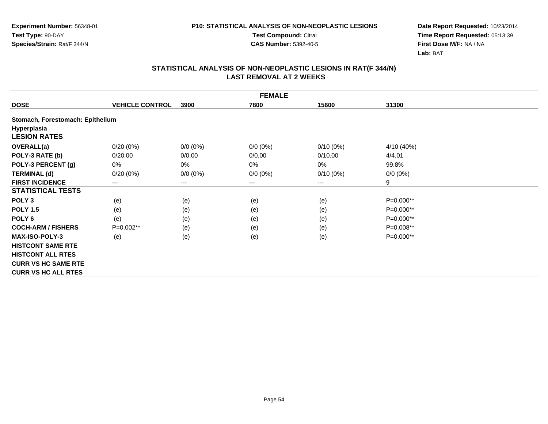**Test Compound:** Citral

**CAS Number:** 5392-40-5

**Date Report Requested:** 10/23/2014**Time Report Requested:** 05:13:39**First Dose M/F:** NA / NA**Lab:** BAT

|                                  |                        |             | <b>FEMALE</b> |             |             |  |
|----------------------------------|------------------------|-------------|---------------|-------------|-------------|--|
| <b>DOSE</b>                      | <b>VEHICLE CONTROL</b> | 3900        | 7800          | 15600       | 31300       |  |
| Stomach, Forestomach: Epithelium |                        |             |               |             |             |  |
| Hyperplasia                      |                        |             |               |             |             |  |
| <b>LESION RATES</b>              |                        |             |               |             |             |  |
| OVERALL(a)                       | $0/20(0\%)$            | $0/0 (0\%)$ | $0/0 (0\%)$   | $0/10(0\%)$ | 4/10 (40%)  |  |
| POLY-3 RATE (b)                  | 0/20.00                | 0/0.00      | 0/0.00        | 0/10.00     | 4/4.01      |  |
| POLY-3 PERCENT (g)               | $0\%$                  | 0%          | 0%            | $0\%$       | 99.8%       |  |
| <b>TERMINAL (d)</b>              | $0/20(0\%)$            | $0/0 (0\%)$ | $0/0 (0\%)$   | $0/10(0\%)$ | $0/0 (0\%)$ |  |
| <b>FIRST INCIDENCE</b>           | $\qquad \qquad \cdots$ | ---         | $---$         | $--$        | 9           |  |
| <b>STATISTICAL TESTS</b>         |                        |             |               |             |             |  |
| POLY <sub>3</sub>                | (e)                    | (e)         | (e)           | (e)         | P=0.000**   |  |
| <b>POLY 1.5</b>                  | (e)                    | (e)         | (e)           | (e)         | P=0.000**   |  |
| POLY 6                           | (e)                    | (e)         | (e)           | (e)         | P=0.000**   |  |
| <b>COCH-ARM / FISHERS</b>        | P=0.002**              | (e)         | (e)           | (e)         | P=0.008**   |  |
| <b>MAX-ISO-POLY-3</b>            | (e)                    | (e)         | (e)           | (e)         | P=0.000**   |  |
| <b>HISTCONT SAME RTE</b>         |                        |             |               |             |             |  |
| <b>HISTCONT ALL RTES</b>         |                        |             |               |             |             |  |
| <b>CURR VS HC SAME RTE</b>       |                        |             |               |             |             |  |
| <b>CURR VS HC ALL RTES</b>       |                        |             |               |             |             |  |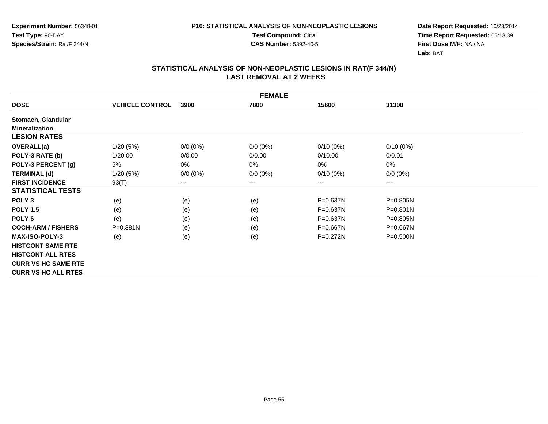**Test Compound:** Citral

**CAS Number:** 5392-40-5

**Date Report Requested:** 10/23/2014**Time Report Requested:** 05:13:39**First Dose M/F:** NA / NA**Lab:** BAT

|                            | <b>FEMALE</b>          |             |             |              |              |  |  |
|----------------------------|------------------------|-------------|-------------|--------------|--------------|--|--|
| <b>DOSE</b>                | <b>VEHICLE CONTROL</b> | 3900        | 7800        | 15600        | 31300        |  |  |
| Stomach, Glandular         |                        |             |             |              |              |  |  |
| <b>Mineralization</b>      |                        |             |             |              |              |  |  |
| <b>LESION RATES</b>        |                        |             |             |              |              |  |  |
| <b>OVERALL(a)</b>          | 1/20(5%)               | $0/0 (0\%)$ | $0/0 (0\%)$ | $0/10(0\%)$  | $0/10(0\%)$  |  |  |
| POLY-3 RATE (b)            | 1/20.00                | 0/0.00      | 0/0.00      | 0/10.00      | 0/0.01       |  |  |
| POLY-3 PERCENT (g)         | 5%                     | 0%          | 0%          | 0%           | 0%           |  |  |
| <b>TERMINAL (d)</b>        | 1/20(5%)               | $0/0 (0\%)$ | $0/0 (0\%)$ | $0/10(0\%)$  | $0/0 (0\%)$  |  |  |
| <b>FIRST INCIDENCE</b>     | 93(T)                  | ---         | $--$        | ---          | ---          |  |  |
| <b>STATISTICAL TESTS</b>   |                        |             |             |              |              |  |  |
| POLY <sub>3</sub>          | (e)                    | (e)         | (e)         | $P = 0.637N$ | P=0.805N     |  |  |
| <b>POLY 1.5</b>            | (e)                    | (e)         | (e)         | P=0.637N     | $P = 0.801N$ |  |  |
| POLY <sub>6</sub>          | (e)                    | (e)         | (e)         | $P = 0.637N$ | P=0.805N     |  |  |
| <b>COCH-ARM / FISHERS</b>  | P=0.381N               | (e)         | (e)         | $P = 0.667N$ | $P = 0.667N$ |  |  |
| <b>MAX-ISO-POLY-3</b>      | (e)                    | (e)         | (e)         | $P = 0.272N$ | P=0.500N     |  |  |
| <b>HISTCONT SAME RTE</b>   |                        |             |             |              |              |  |  |
| <b>HISTCONT ALL RTES</b>   |                        |             |             |              |              |  |  |
| <b>CURR VS HC SAME RTE</b> |                        |             |             |              |              |  |  |
| <b>CURR VS HC ALL RTES</b> |                        |             |             |              |              |  |  |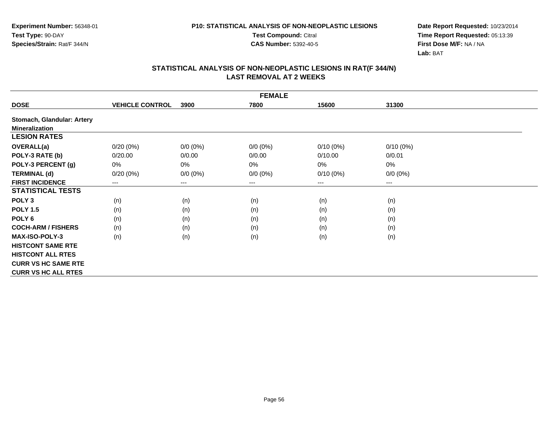**Test Compound:** Citral

**CAS Number:** 5392-40-5

**Date Report Requested:** 10/23/2014**Time Report Requested:** 05:13:39**First Dose M/F:** NA / NA**Lab:** BAT

|                            |                        |             | <b>FEMALE</b>              |             |             |  |
|----------------------------|------------------------|-------------|----------------------------|-------------|-------------|--|
| <b>DOSE</b>                | <b>VEHICLE CONTROL</b> | 3900        | 7800                       | 15600       | 31300       |  |
| Stomach, Glandular: Artery |                        |             |                            |             |             |  |
| <b>Mineralization</b>      |                        |             |                            |             |             |  |
| <b>LESION RATES</b>        |                        |             |                            |             |             |  |
| <b>OVERALL(a)</b>          | 0/20(0%)               | $0/0 (0\%)$ | $0/0 (0\%)$                | $0/10(0\%)$ | $0/10(0\%)$ |  |
| POLY-3 RATE (b)            | 0/20.00                | 0/0.00      | 0/0.00                     | 0/10.00     | 0/0.01      |  |
| POLY-3 PERCENT (g)         | 0%                     | 0%          | 0%                         | 0%          | 0%          |  |
| <b>TERMINAL (d)</b>        | 0/20(0%)               | $0/0 (0\%)$ | $0/0 (0\%)$                | $0/10(0\%)$ | $0/0 (0\%)$ |  |
| <b>FIRST INCIDENCE</b>     | $---$                  | $---$       | $\qquad \qquad - \qquad -$ | ---         | $--$        |  |
| <b>STATISTICAL TESTS</b>   |                        |             |                            |             |             |  |
| POLY <sub>3</sub>          | (n)                    | (n)         | (n)                        | (n)         | (n)         |  |
| <b>POLY 1.5</b>            | (n)                    | (n)         | (n)                        | (n)         | (n)         |  |
| POLY <sub>6</sub>          | (n)                    | (n)         | (n)                        | (n)         | (n)         |  |
| <b>COCH-ARM / FISHERS</b>  | (n)                    | (n)         | (n)                        | (n)         | (n)         |  |
| <b>MAX-ISO-POLY-3</b>      | (n)                    | (n)         | (n)                        | (n)         | (n)         |  |
| <b>HISTCONT SAME RTE</b>   |                        |             |                            |             |             |  |
| <b>HISTCONT ALL RTES</b>   |                        |             |                            |             |             |  |
| <b>CURR VS HC SAME RTE</b> |                        |             |                            |             |             |  |
| <b>CURR VS HC ALL RTES</b> |                        |             |                            |             |             |  |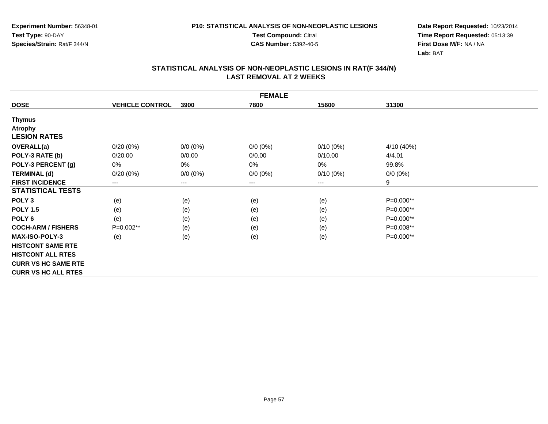**Test Compound:** Citral

**CAS Number:** 5392-40-5

**Date Report Requested:** 10/23/2014**Time Report Requested:** 05:13:39**First Dose M/F:** NA / NA**Lab:** BAT

|                            |                            |             | <b>FEMALE</b> |             |             |  |
|----------------------------|----------------------------|-------------|---------------|-------------|-------------|--|
| <b>DOSE</b>                | <b>VEHICLE CONTROL</b>     | 3900        | 7800          | 15600       | 31300       |  |
| <b>Thymus</b>              |                            |             |               |             |             |  |
| <b>Atrophy</b>             |                            |             |               |             |             |  |
| <b>LESION RATES</b>        |                            |             |               |             |             |  |
| <b>OVERALL(a)</b>          | $0/20(0\%)$                | $0/0 (0\%)$ | $0/0 (0\%)$   | $0/10(0\%)$ | 4/10 (40%)  |  |
| POLY-3 RATE (b)            | 0/20.00                    | 0/0.00      | 0/0.00        | 0/10.00     | 4/4.01      |  |
| POLY-3 PERCENT (g)         | 0%                         | 0%          | 0%            | 0%          | 99.8%       |  |
| <b>TERMINAL (d)</b>        | $0/20(0\%)$                | $0/0 (0\%)$ | $0/0 (0\%)$   | $0/10(0\%)$ | $0/0 (0\%)$ |  |
| <b>FIRST INCIDENCE</b>     | $\qquad \qquad - \qquad -$ | ---         | $--$          | $---$       | 9           |  |
| <b>STATISTICAL TESTS</b>   |                            |             |               |             |             |  |
| POLY <sub>3</sub>          | (e)                        | (e)         | (e)           | (e)         | P=0.000**   |  |
| <b>POLY 1.5</b>            | (e)                        | (e)         | (e)           | (e)         | $P=0.000**$ |  |
| POLY 6                     | (e)                        | (e)         | (e)           | (e)         | P=0.000**   |  |
| <b>COCH-ARM / FISHERS</b>  | $P=0.002**$                | (e)         | (e)           | (e)         | $P=0.008**$ |  |
| <b>MAX-ISO-POLY-3</b>      | (e)                        | (e)         | (e)           | (e)         | P=0.000**   |  |
| <b>HISTCONT SAME RTE</b>   |                            |             |               |             |             |  |
| <b>HISTCONT ALL RTES</b>   |                            |             |               |             |             |  |
| <b>CURR VS HC SAME RTE</b> |                            |             |               |             |             |  |
| <b>CURR VS HC ALL RTES</b> |                            |             |               |             |             |  |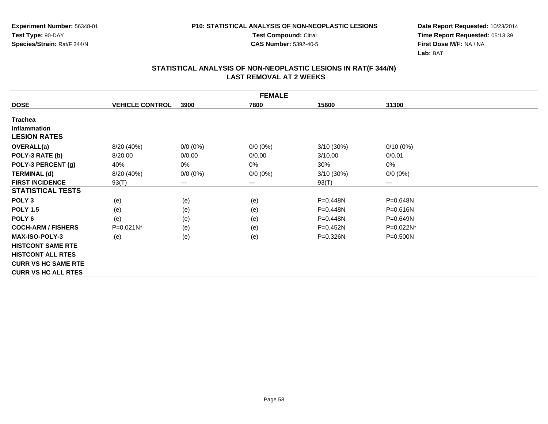**Test Compound:** Citral

**CAS Number:** 5392-40-5

**Date Report Requested:** 10/23/2014**Time Report Requested:** 05:13:39**First Dose M/F:** NA / NA**Lab:** BAT

|                            |                        |                        | <b>FEMALE</b> |              |              |  |
|----------------------------|------------------------|------------------------|---------------|--------------|--------------|--|
| <b>DOSE</b>                | <b>VEHICLE CONTROL</b> | 3900                   | 7800          | 15600        | 31300        |  |
| <b>Trachea</b>             |                        |                        |               |              |              |  |
| <b>Inflammation</b>        |                        |                        |               |              |              |  |
| <b>LESION RATES</b>        |                        |                        |               |              |              |  |
| <b>OVERALL(a)</b>          | 8/20 (40%)             | $0/0 (0\%)$            | $0/0(0\%)$    | $3/10(30\%)$ | $0/10(0\%)$  |  |
| POLY-3 RATE (b)            | 8/20.00                | 0/0.00                 | 0/0.00        | 3/10.00      | 0/0.01       |  |
| POLY-3 PERCENT (g)         | 40%                    | 0%                     | 0%            | 30%          | 0%           |  |
| <b>TERMINAL (d)</b>        | 8/20 (40%)             | $0/0 (0\%)$            | $0/0 (0\%)$   | $3/10(30\%)$ | $0/0 (0\%)$  |  |
| <b>FIRST INCIDENCE</b>     | 93(T)                  | $\qquad \qquad \cdots$ | $---$         | 93(T)        | $--$         |  |
| <b>STATISTICAL TESTS</b>   |                        |                        |               |              |              |  |
| POLY <sub>3</sub>          | (e)                    | (e)                    | (e)           | $P = 0.448N$ | P=0.648N     |  |
| <b>POLY 1.5</b>            | (e)                    | (e)                    | (e)           | $P = 0.448N$ | P=0.616N     |  |
| POLY <sub>6</sub>          | (e)                    | (e)                    | (e)           | P=0.448N     | P=0.649N     |  |
| <b>COCH-ARM / FISHERS</b>  | P=0.021N*              | (e)                    | (e)           | $P=0.452N$   | P=0.022N*    |  |
| <b>MAX-ISO-POLY-3</b>      | (e)                    | (e)                    | (e)           | P=0.326N     | $P = 0.500N$ |  |
| <b>HISTCONT SAME RTE</b>   |                        |                        |               |              |              |  |
| <b>HISTCONT ALL RTES</b>   |                        |                        |               |              |              |  |
| <b>CURR VS HC SAME RTE</b> |                        |                        |               |              |              |  |
| <b>CURR VS HC ALL RTES</b> |                        |                        |               |              |              |  |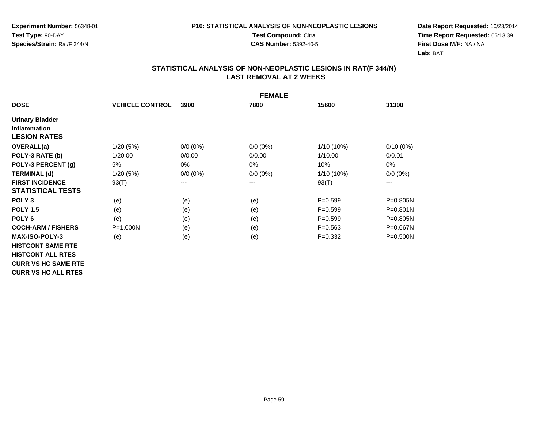**Test Compound:** Citral

**CAS Number:** 5392-40-5

**Date Report Requested:** 10/23/2014**Time Report Requested:** 05:13:39**First Dose M/F:** NA / NA**Lab:** BAT

|                            | <b>FEMALE</b>          |             |             |              |              |  |  |
|----------------------------|------------------------|-------------|-------------|--------------|--------------|--|--|
| <b>DOSE</b>                | <b>VEHICLE CONTROL</b> | 3900        | 7800        | 15600        | 31300        |  |  |
| <b>Urinary Bladder</b>     |                        |             |             |              |              |  |  |
| <b>Inflammation</b>        |                        |             |             |              |              |  |  |
| <b>LESION RATES</b>        |                        |             |             |              |              |  |  |
| <b>OVERALL(a)</b>          | 1/20(5%)               | $0/0 (0\%)$ | $0/0 (0\%)$ | $1/10(10\%)$ | $0/10(0\%)$  |  |  |
| POLY-3 RATE (b)            | 1/20.00                | 0/0.00      | 0/0.00      | 1/10.00      | 0/0.01       |  |  |
| POLY-3 PERCENT (g)         | 5%                     | 0%          | 0%          | 10%          | 0%           |  |  |
| <b>TERMINAL (d)</b>        | 1/20(5%)               | $0/0 (0\%)$ | $0/0 (0\%)$ | 1/10 (10%)   | $0/0 (0\%)$  |  |  |
| <b>FIRST INCIDENCE</b>     | 93(T)                  | ---         | $---$       | 93(T)        | ---          |  |  |
| <b>STATISTICAL TESTS</b>   |                        |             |             |              |              |  |  |
| POLY <sub>3</sub>          | (e)                    | (e)         | (e)         | $P=0.599$    | P=0.805N     |  |  |
| <b>POLY 1.5</b>            | (e)                    | (e)         | (e)         | $P = 0.599$  | $P = 0.801N$ |  |  |
| POLY 6                     | (e)                    | (e)         | (e)         | $P=0.599$    | P=0.805N     |  |  |
| <b>COCH-ARM / FISHERS</b>  | P=1.000N               | (e)         | (e)         | $P = 0.563$  | $P = 0.667N$ |  |  |
| <b>MAX-ISO-POLY-3</b>      | (e)                    | (e)         | (e)         | $P = 0.332$  | P=0.500N     |  |  |
| <b>HISTCONT SAME RTE</b>   |                        |             |             |              |              |  |  |
| <b>HISTCONT ALL RTES</b>   |                        |             |             |              |              |  |  |
| <b>CURR VS HC SAME RTE</b> |                        |             |             |              |              |  |  |
| <b>CURR VS HC ALL RTES</b> |                        |             |             |              |              |  |  |